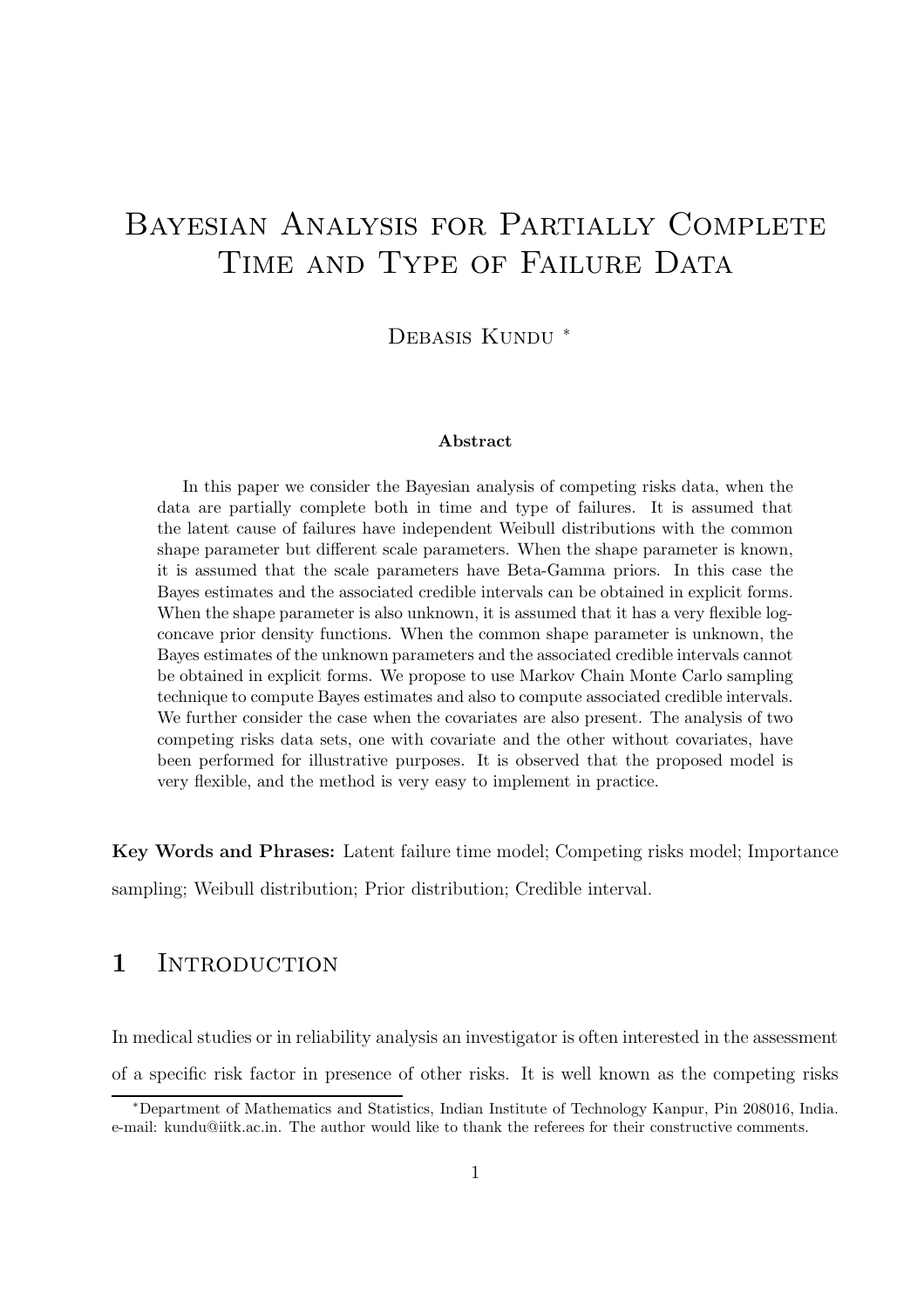# Bayesian Analysis for Partially Complete TIME AND TYPE OF FAILURE DATA

DEBASIS KUNDU<sup>\*</sup>

#### Abstract

In this paper we consider the Bayesian analysis of competing risks data, when the data are partially complete both in time and type of failures. It is assumed that the latent cause of failures have independent Weibull distributions with the common shape parameter but different scale parameters. When the shape parameter is known, it is assumed that the scale parameters have Beta-Gamma priors. In this case the Bayes estimates and the associated credible intervals can be obtained in explicit forms. When the shape parameter is also unknown, it is assumed that it has a very flexible logconcave prior density functions. When the common shape parameter is unknown, the Bayes estimates of the unknown parameters and the associated credible intervals cannot be obtained in explicit forms. We propose to use Markov Chain Monte Carlo sampling technique to compute Bayes estimates and also to compute associated credible intervals. We further consider the case when the covariates are also present. The analysis of two competing risks data sets, one with covariate and the other without covariates, have been performed for illustrative purposes. It is observed that the proposed model is very flexible, and the method is very easy to implement in practice.

Key Words and Phrases: Latent failure time model; Competing risks model; Importance sampling; Weibull distribution; Prior distribution; Credible interval.

## 1 INTRODUCTION

In medical studies or in reliability analysis an investigator is often interested in the assessment of a specific risk factor in presence of other risks. It is well known as the competing risks

<sup>∗</sup>Department of Mathematics and Statistics, Indian Institute of Technology Kanpur, Pin 208016, India. e-mail: kundu@iitk.ac.in. The author would like to thank the referees for their constructive comments.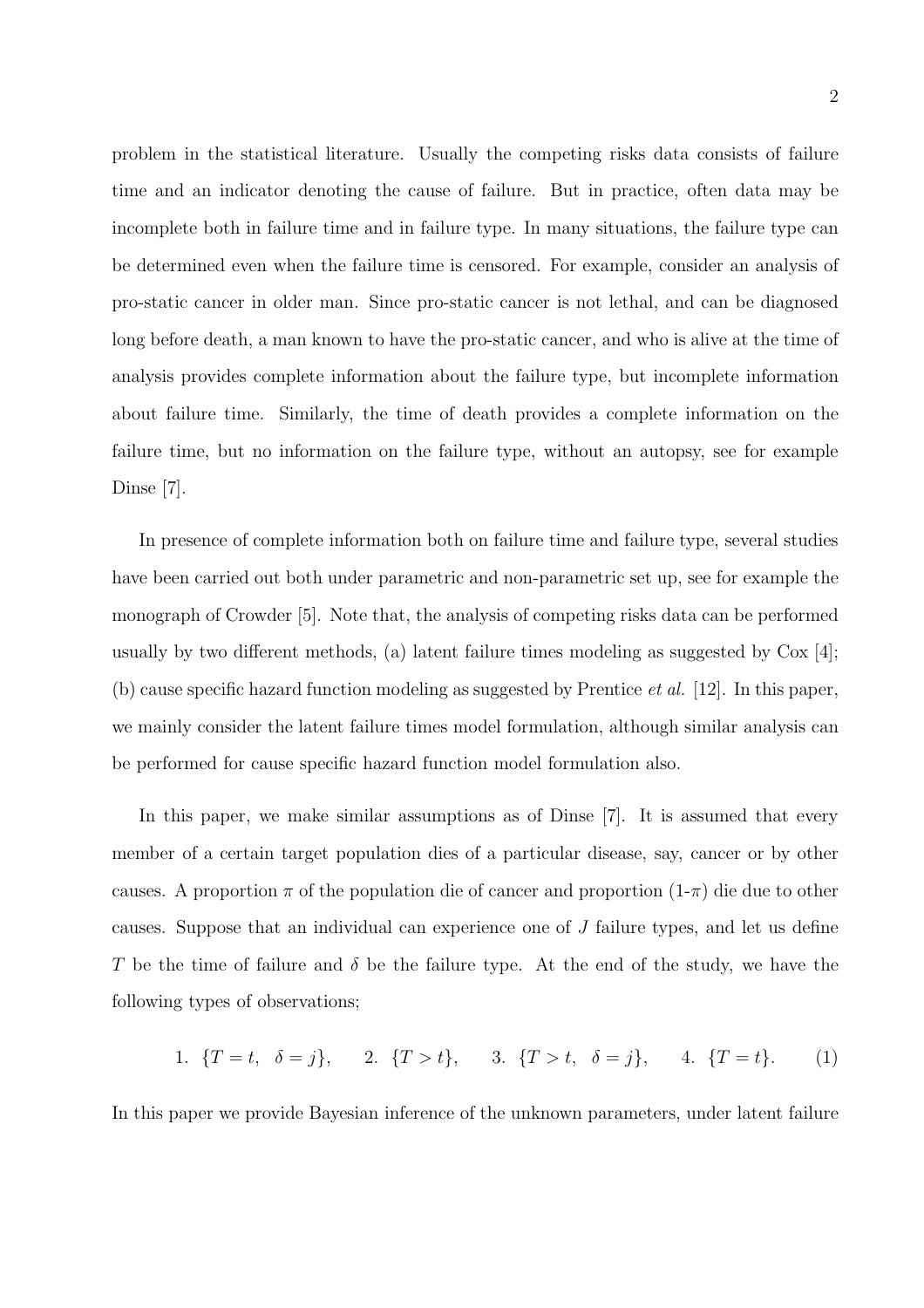problem in the statistical literature. Usually the competing risks data consists of failure time and an indicator denoting the cause of failure. But in practice, often data may be incomplete both in failure time and in failure type. In many situations, the failure type can be determined even when the failure time is censored. For example, consider an analysis of pro-static cancer in older man. Since pro-static cancer is not lethal, and can be diagnosed long before death, a man known to have the pro-static cancer, and who is alive at the time of analysis provides complete information about the failure type, but incomplete information about failure time. Similarly, the time of death provides a complete information on the failure time, but no information on the failure type, without an autopsy, see for example Dinse [7].

In presence of complete information both on failure time and failure type, several studies have been carried out both under parametric and non-parametric set up, see for example the monograph of Crowder [5]. Note that, the analysis of competing risks data can be performed usually by two different methods, (a) latent failure times modeling as suggested by  $\text{Cox } [4]$ ; (b) cause specific hazard function modeling as suggested by Prentice *et al.* [12]. In this paper, we mainly consider the latent failure times model formulation, although similar analysis can be performed for cause specific hazard function model formulation also.

In this paper, we make similar assumptions as of Dinse [7]. It is assumed that every member of a certain target population dies of a particular disease, say, cancer or by other causes. A proportion  $\pi$  of the population die of cancer and proportion  $(1-\pi)$  die due to other causes. Suppose that an individual can experience one of  $J$  failure types, and let us define T be the time of failure and  $\delta$  be the failure type. At the end of the study, we have the following types of observations;

1. 
$$
\{T = t, \delta = j\},
$$
 2.  $\{T > t\},$  3.  $\{T > t, \delta = j\},$  4.  $\{T = t\}.$  (1)

In this paper we provide Bayesian inference of the unknown parameters, under latent failure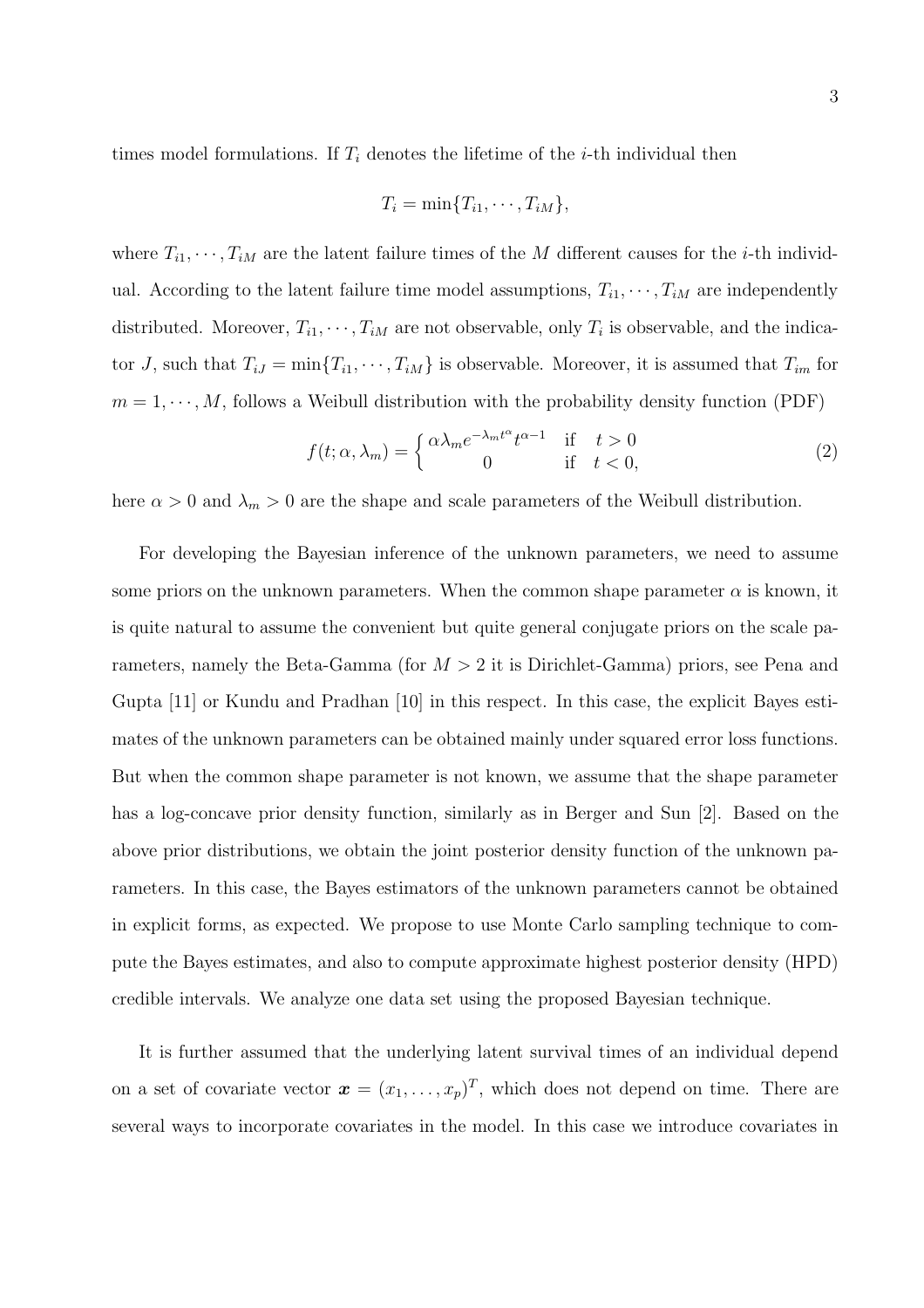times model formulations. If  $T_i$  denotes the lifetime of the *i*-th individual then

$$
T_i = \min\{T_{i1}, \cdots, T_{iM}\},\
$$

where  $T_{i1}, \dots, T_{iM}$  are the latent failure times of the M different causes for the *i*-th individual. According to the latent failure time model assumptions,  $T_{i1}, \dots, T_{iM}$  are independently distributed. Moreover,  $T_{i1}, \dots, T_{iM}$  are not observable, only  $T_i$  is observable, and the indicator J, such that  $T_{iJ} = \min\{T_{i1}, \dots, T_{iM}\}\$ is observable. Moreover, it is assumed that  $T_{im}$  for  $m = 1, \dots, M$ , follows a Weibull distribution with the probability density function (PDF)

$$
f(t; \alpha, \lambda_m) = \begin{cases} \alpha \lambda_m e^{-\lambda_m t^{\alpha}} t^{\alpha - 1} & \text{if } t > 0\\ 0 & \text{if } t < 0, \end{cases}
$$
 (2)

here  $\alpha > 0$  and  $\lambda_m > 0$  are the shape and scale parameters of the Weibull distribution.

For developing the Bayesian inference of the unknown parameters, we need to assume some priors on the unknown parameters. When the common shape parameter  $\alpha$  is known, it is quite natural to assume the convenient but quite general conjugate priors on the scale parameters, namely the Beta-Gamma (for  $M > 2$  it is Dirichlet-Gamma) priors, see Pena and Gupta [11] or Kundu and Pradhan [10] in this respect. In this case, the explicit Bayes estimates of the unknown parameters can be obtained mainly under squared error loss functions. But when the common shape parameter is not known, we assume that the shape parameter has a log-concave prior density function, similarly as in Berger and Sun [2]. Based on the above prior distributions, we obtain the joint posterior density function of the unknown parameters. In this case, the Bayes estimators of the unknown parameters cannot be obtained in explicit forms, as expected. We propose to use Monte Carlo sampling technique to compute the Bayes estimates, and also to compute approximate highest posterior density (HPD) credible intervals. We analyze one data set using the proposed Bayesian technique.

It is further assumed that the underlying latent survival times of an individual depend on a set of covariate vector  $\boldsymbol{x} = (x_1, \ldots, x_p)^T$ , which does not depend on time. There are several ways to incorporate covariates in the model. In this case we introduce covariates in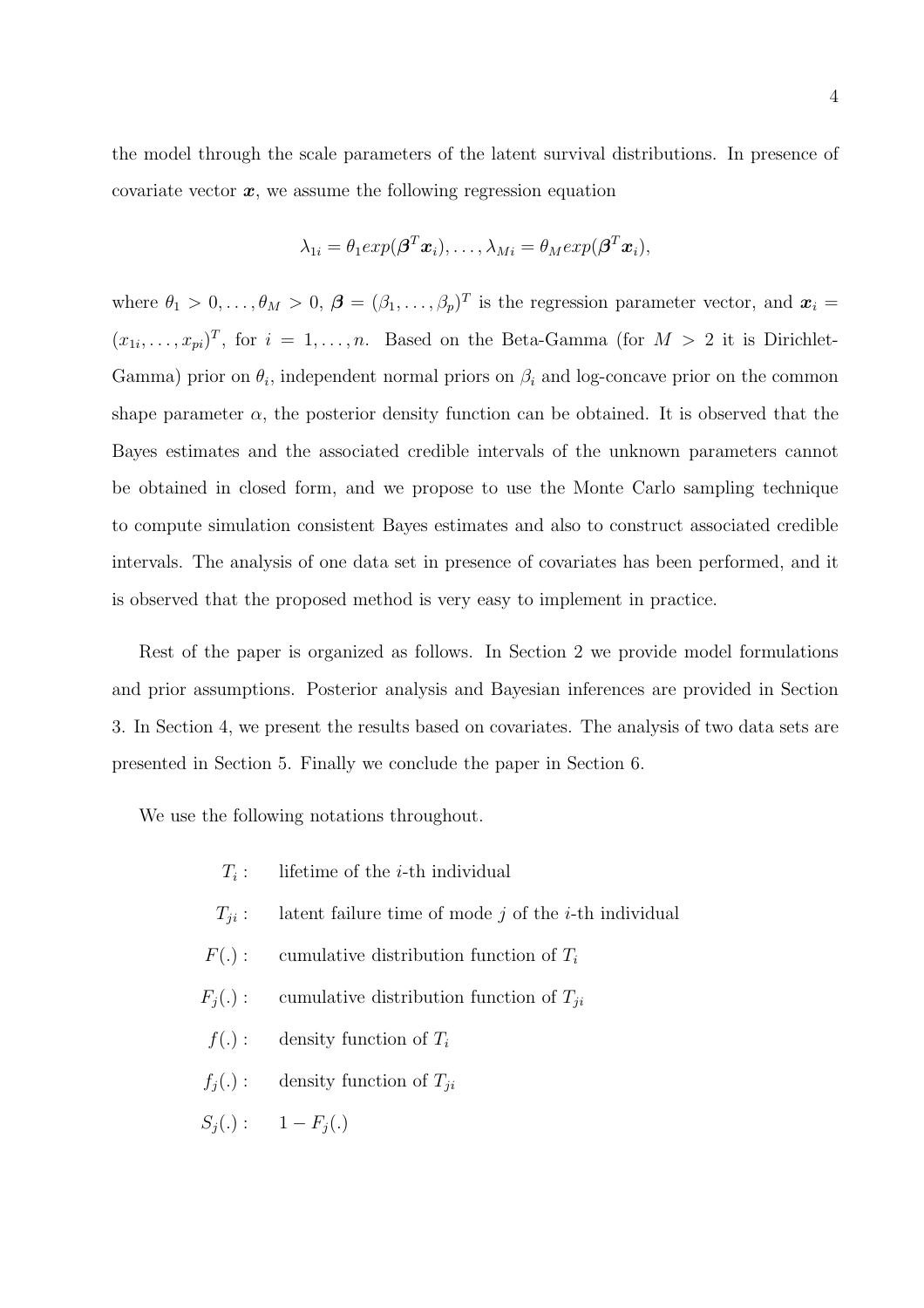the model through the scale parameters of the latent survival distributions. In presence of covariate vector  $x$ , we assume the following regression equation

$$
\lambda_{1i} = \theta_1 exp(\boldsymbol{\beta}^T \boldsymbol{x}_i), \dots, \lambda_{Mi} = \theta_M exp(\boldsymbol{\beta}^T \boldsymbol{x}_i),
$$

where  $\theta_1 > 0, \ldots, \theta_M > 0, \ \boldsymbol{\beta} = (\beta_1, \ldots, \beta_p)^T$  is the regression parameter vector, and  $\boldsymbol{x}_i =$  $(x_{1i},\ldots,x_{pi})^T$ , for  $i=1,\ldots,n$ . Based on the Beta-Gamma (for  $M>2$  it is Dirichlet-Gamma) prior on  $\theta_i$ , independent normal priors on  $\beta_i$  and log-concave prior on the common shape parameter  $\alpha$ , the posterior density function can be obtained. It is observed that the Bayes estimates and the associated credible intervals of the unknown parameters cannot be obtained in closed form, and we propose to use the Monte Carlo sampling technique to compute simulation consistent Bayes estimates and also to construct associated credible intervals. The analysis of one data set in presence of covariates has been performed, and it is observed that the proposed method is very easy to implement in practice.

Rest of the paper is organized as follows. In Section 2 we provide model formulations and prior assumptions. Posterior analysis and Bayesian inferences are provided in Section 3. In Section 4, we present the results based on covariates. The analysis of two data sets are presented in Section 5. Finally we conclude the paper in Section 6.

We use the following notations throughout.

- $T_i$ : lifetime of the  $i$ -th individual
- $T_{ii}$ : latent failure time of mode j of the *i*-th individual
- $F(.)$ : cumulative distribution function of  $T_i$
- $F_j(.)$ : cumulative distribution function of  $T_{ji}$
- $f(.)$ : density function of  $T_i$
- $f_j(.)$ : density function of  $T_{ji}$

$$
S_j(.) : \qquad 1 - F_j(.)
$$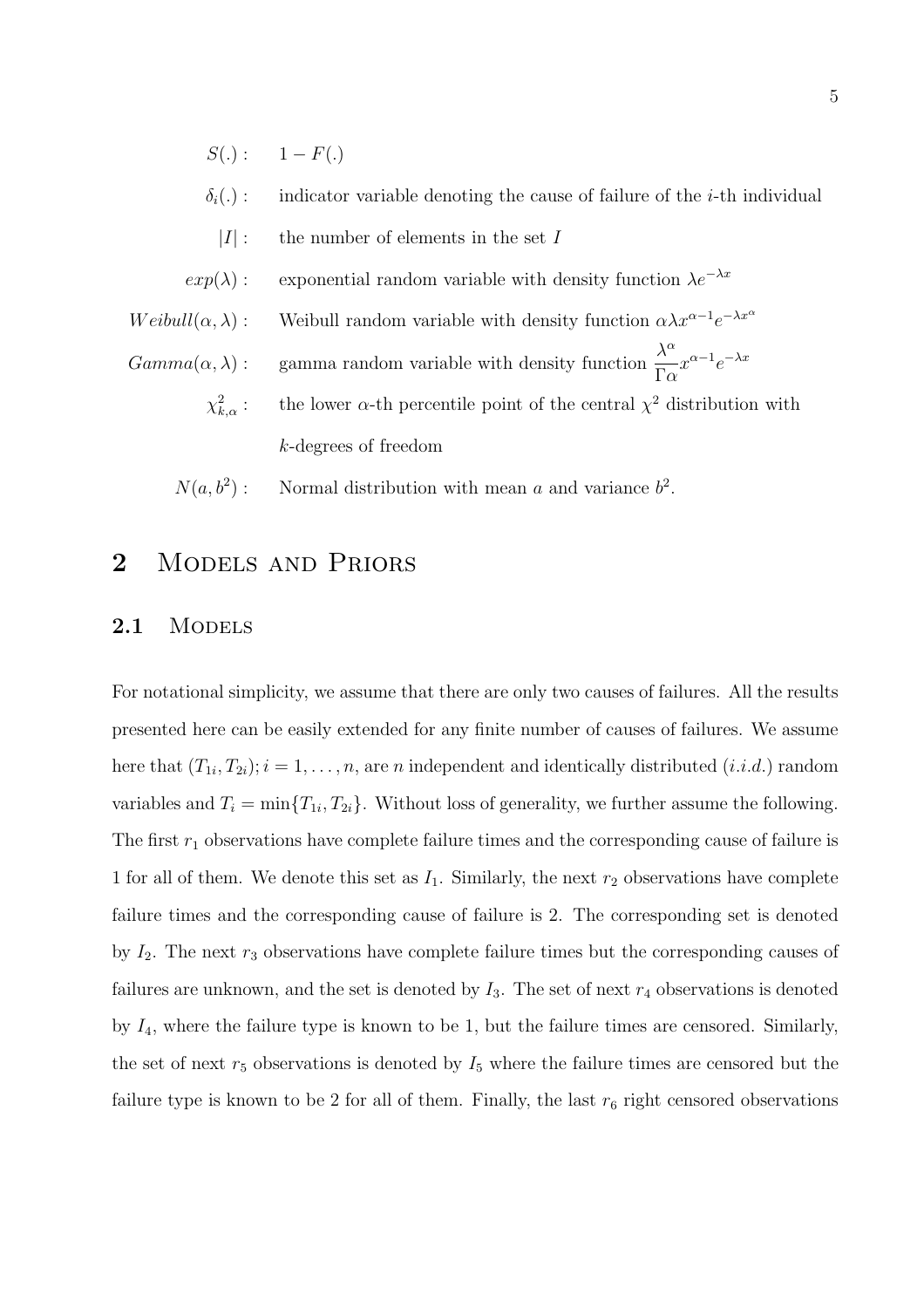- $S(.)$ :  $1-F(.)$
- $\delta_i(.)$ : indicator variable denoting the cause of failure of the *i*-th individual
- $|I|$ : the number of elements in the set I
- $exp(\lambda)$ : exponential random variable with density function  $\lambda e^{-\lambda x}$
- Weibull( $\alpha, \lambda$ ) : Weibull random variable with density function  $\alpha \lambda x^{\alpha-1} e^{-\lambda x^{\alpha}}$
- $Gamma(\alpha, \lambda)$ : gamma random variable with density function  $\frac{\lambda^{\alpha}}{\Gamma}$  $\Gamma\alpha$  $x^{\alpha-1}e^{-\lambda x}$ 
	- $\chi^2_k$  $\kappa_{k,\alpha}^2$ : the lower  $\alpha$ -th percentile point of the central  $\chi^2$  distribution with k-degrees of freedom
	- $N(a, b^2)$ : ): Normal distribution with mean a and variance  $b^2$ .

### 2 MODELS AND PRIORS

#### 2.1 MODELS

For notational simplicity, we assume that there are only two causes of failures. All the results presented here can be easily extended for any finite number of causes of failures. We assume here that  $(T_{1i}, T_{2i}); i = 1, \ldots, n$ , are n independent and identically distributed  $(i.i.d.)$  random variables and  $T_i = \min\{T_{1i}, T_{2i}\}\.$  Without loss of generality, we further assume the following. The first  $r_1$  observations have complete failure times and the corresponding cause of failure is 1 for all of them. We denote this set as  $I_1$ . Similarly, the next  $r_2$  observations have complete failure times and the corresponding cause of failure is 2. The corresponding set is denoted by  $I_2$ . The next  $r_3$  observations have complete failure times but the corresponding causes of failures are unknown, and the set is denoted by  $I_3$ . The set of next  $r_4$  observations is denoted by  $I_4$ , where the failure type is known to be 1, but the failure times are censored. Similarly, the set of next  $r_5$  observations is denoted by  $I_5$  where the failure times are censored but the failure type is known to be 2 for all of them. Finally, the last  $r_6$  right censored observations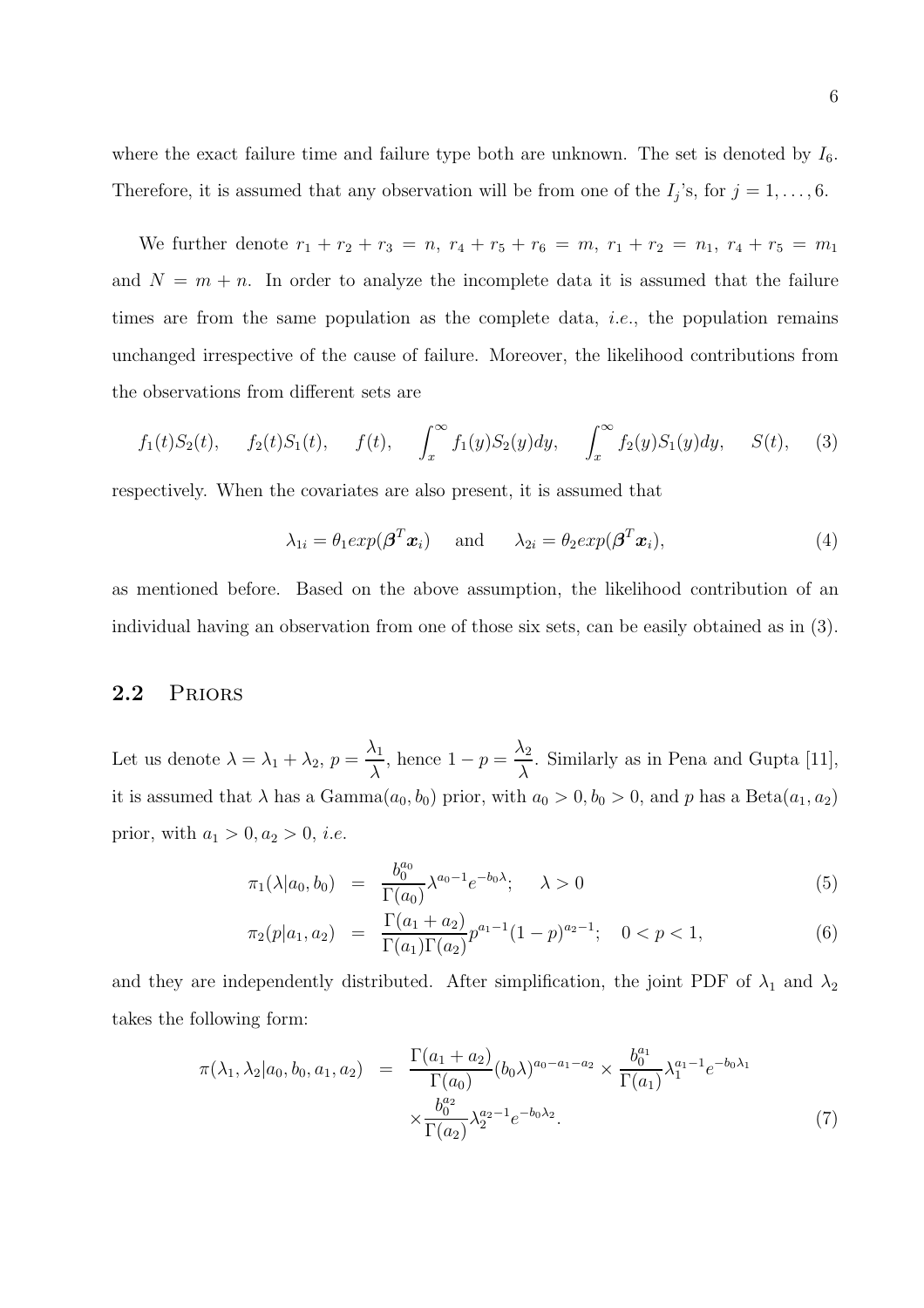where the exact failure time and failure type both are unknown. The set is denoted by  $I_6$ . Therefore, it is assumed that any observation will be from one of the  $I_j$ 's, for  $j = 1, \ldots, 6$ .

We further denote  $r_1 + r_2 + r_3 = n$ ,  $r_4 + r_5 + r_6 = m$ ,  $r_1 + r_2 = n_1$ ,  $r_4 + r_5 = m_1$ and  $N = m + n$ . In order to analyze the incomplete data it is assumed that the failure times are from the same population as the complete data, *i.e.*, the population remains unchanged irrespective of the cause of failure. Moreover, the likelihood contributions from the observations from different sets are

$$
f_1(t)S_2(t)
$$
,  $f_2(t)S_1(t)$ ,  $f(t)$ ,  $\int_x^{\infty} f_1(y)S_2(y)dy$ ,  $\int_x^{\infty} f_2(y)S_1(y)dy$ ,  $S(t)$ , (3)

respectively. When the covariates are also present, it is assumed that

$$
\lambda_{1i} = \theta_1 exp(\boldsymbol{\beta}^T \boldsymbol{x}_i) \quad \text{and} \quad \lambda_{2i} = \theta_2 exp(\boldsymbol{\beta}^T \boldsymbol{x}_i), \tag{4}
$$

as mentioned before. Based on the above assumption, the likelihood contribution of an individual having an observation from one of those six sets, can be easily obtained as in (3).

### 2.2 PRIORS

Let us denote  $\lambda = \lambda_1 + \lambda_2$ ,  $p =$  $\lambda_1$  $\frac{1}{\lambda}$ , hence  $1 - p =$  $\lambda_2$ λ . Similarly as in Pena and Gupta [11], it is assumed that  $\lambda$  has a Gamma $(a_0, b_0)$  prior, with  $a_0 > 0, b_0 > 0$ , and p has a Beta $(a_1, a_2)$ prior, with  $a_1 > 0, a_2 > 0, i.e.$ 

$$
\pi_1(\lambda|a_0, b_0) = \frac{b_0^{a_0}}{\Gamma(a_0)} \lambda^{a_0 - 1} e^{-b_0 \lambda}; \quad \lambda > 0
$$
\n(5)

$$
\pi_2(p|a_1, a_2) = \frac{\Gamma(a_1 + a_2)}{\Gamma(a_1)\Gamma(a_2)} p^{a_1 - 1} (1 - p)^{a_2 - 1}; \quad 0 < p < 1,\tag{6}
$$

and they are independently distributed. After simplification, the joint PDF of  $\lambda_1$  and  $\lambda_2$ takes the following form:

$$
\pi(\lambda_1, \lambda_2 | a_0, b_0, a_1, a_2) = \frac{\Gamma(a_1 + a_2)}{\Gamma(a_0)} (b_0 \lambda)^{a_0 - a_1 - a_2} \times \frac{b_0^{a_1}}{\Gamma(a_1)} \lambda_1^{a_1 - 1} e^{-b_0 \lambda_1} \times \frac{b_0^{a_2}}{\Gamma(a_2)} \lambda_2^{a_2 - 1} e^{-b_0 \lambda_2}.
$$
\n(7)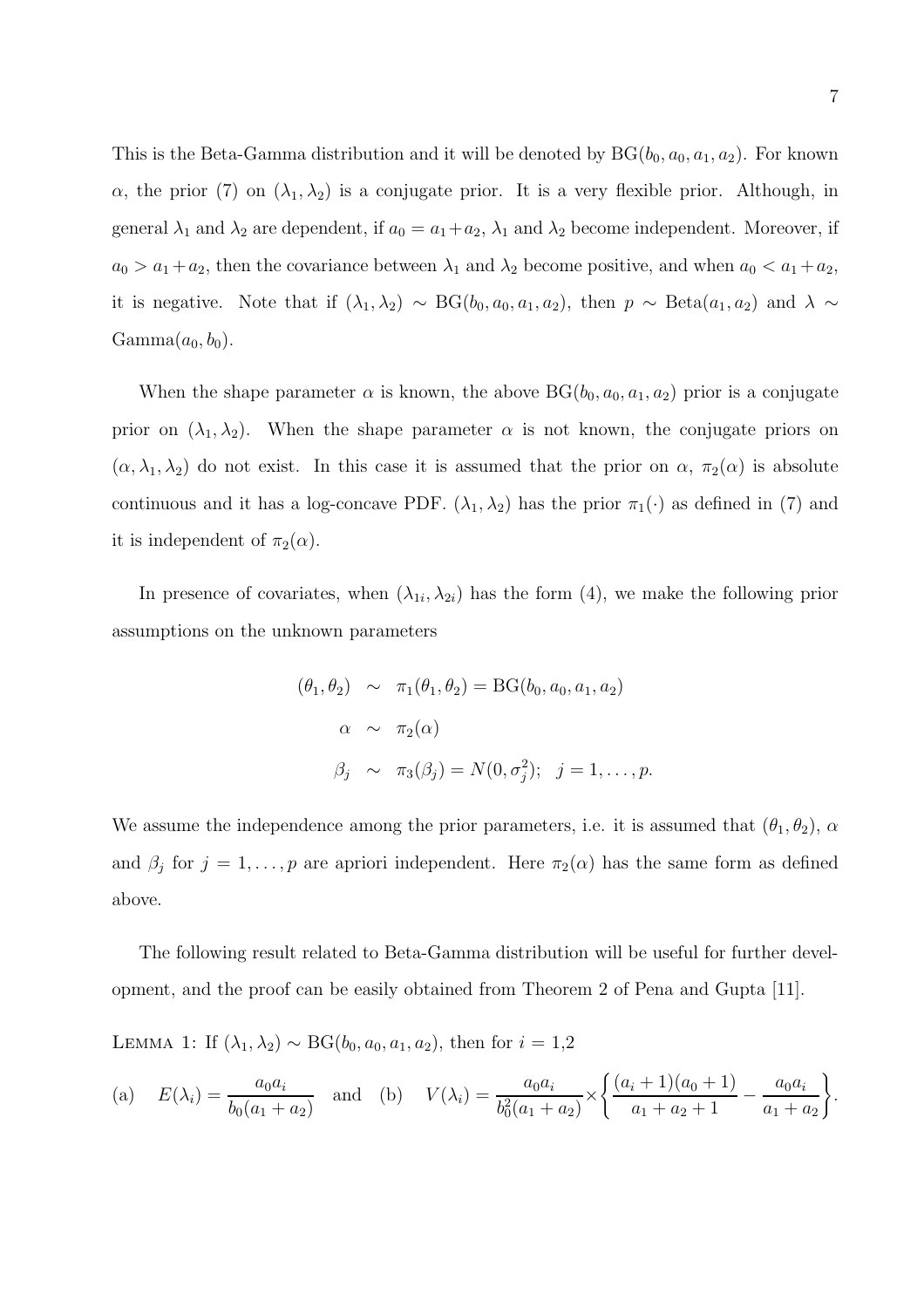This is the Beta-Gamma distribution and it will be denoted by  $BG(b_0, a_0, a_1, a_2)$ . For known  $\alpha$ , the prior (7) on  $(\lambda_1, \lambda_2)$  is a conjugate prior. It is a very flexible prior. Although, in general  $\lambda_1$  and  $\lambda_2$  are dependent, if  $a_0 = a_1 + a_2$ ,  $\lambda_1$  and  $\lambda_2$  become independent. Moreover, if  $a_0 > a_1 + a_2$ , then the covariance between  $\lambda_1$  and  $\lambda_2$  become positive, and when  $a_0 < a_1 + a_2$ , it is negative. Note that if  $(\lambda_1, \lambda_2) \sim BG(b_0, a_0, a_1, a_2)$ , then  $p \sim Beta(a_1, a_2)$  and  $\lambda \sim$  $Gamma(a_0, b_0)$ .

When the shape parameter  $\alpha$  is known, the above  $BG(b_0, a_0, a_1, a_2)$  prior is a conjugate prior on  $(\lambda_1, \lambda_2)$ . When the shape parameter  $\alpha$  is not known, the conjugate priors on  $(\alpha, \lambda_1, \lambda_2)$  do not exist. In this case it is assumed that the prior on  $\alpha$ ,  $\pi_2(\alpha)$  is absolute continuous and it has a log-concave PDF.  $(\lambda_1, \lambda_2)$  has the prior  $\pi_1(\cdot)$  as defined in (7) and it is independent of  $\pi_2(\alpha)$ .

In presence of covariates, when  $(\lambda_{1i}, \lambda_{2i})$  has the form (4), we make the following prior assumptions on the unknown parameters

$$
(\theta_1, \theta_2) \sim \pi_1(\theta_1, \theta_2) = BG(b_0, a_0, a_1, a_2)
$$
  
\n
$$
\alpha \sim \pi_2(\alpha)
$$
  
\n
$$
\beta_j \sim \pi_3(\beta_j) = N(0, \sigma_j^2); \quad j = 1, ..., p.
$$

We assume the independence among the prior parameters, i.e. it is assumed that  $(\theta_1, \theta_2)$ ,  $\alpha$ and  $\beta_j$  for  $j = 1, \ldots, p$  are apriori independent. Here  $\pi_2(\alpha)$  has the same form as defined above.

The following result related to Beta-Gamma distribution will be useful for further development, and the proof can be easily obtained from Theorem 2 of Pena and Gupta [11].

LEMMA 1: If  $(\lambda_1, \lambda_2) \sim BG(b_0, a_0, a_1, a_2)$ , then for  $i = 1,2$ 

(a) 
$$
E(\lambda_i) = \frac{a_0 a_i}{b_0 (a_1 + a_2)}
$$
 and (b)  $V(\lambda_i) = \frac{a_0 a_i}{b_0^2 (a_1 + a_2)} \times \left\{ \frac{(a_i + 1)(a_0 + 1)}{a_1 + a_2 + 1} - \frac{a_0 a_i}{a_1 + a_2} \right\}.$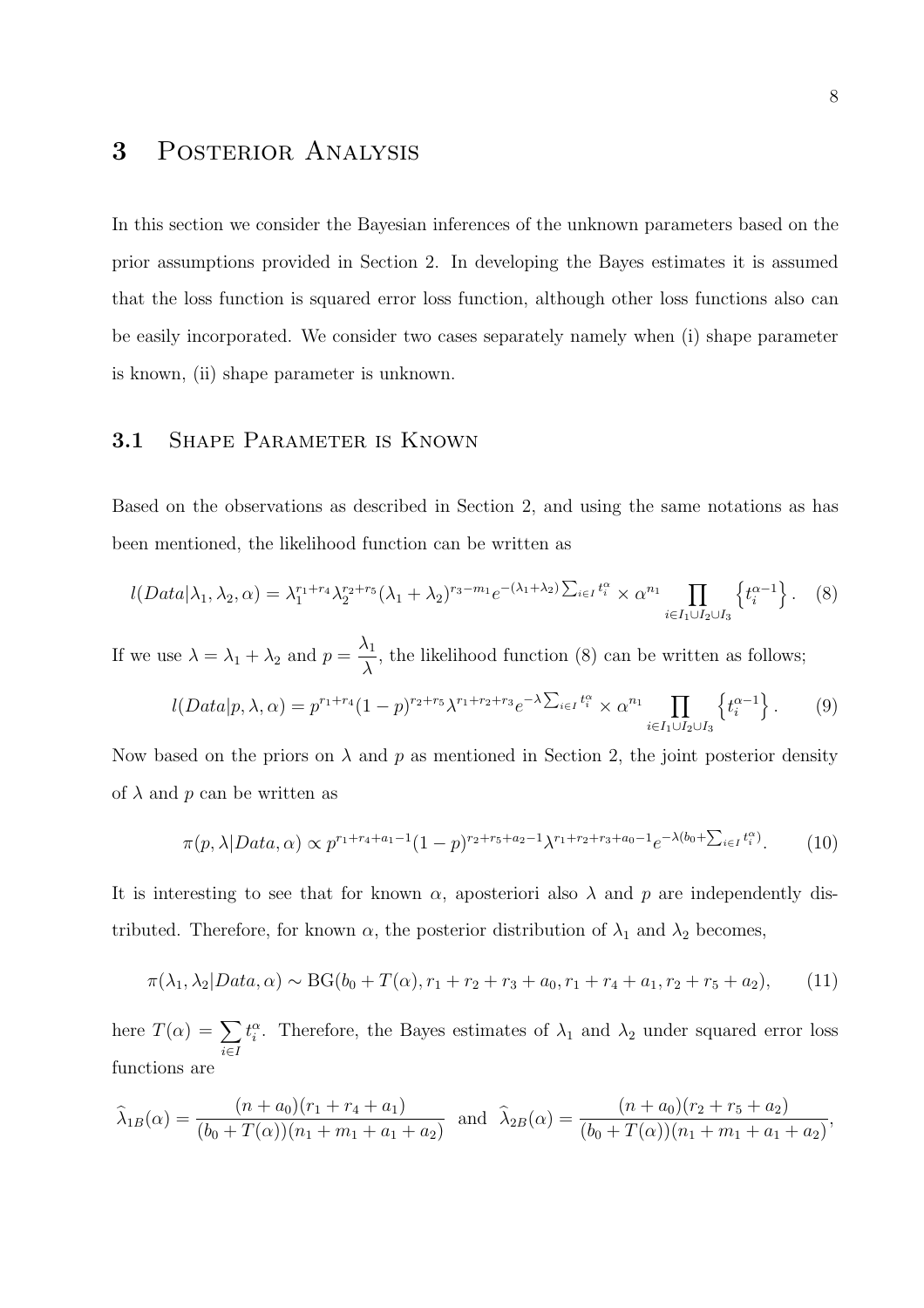## 3 Posterior Analysis

In this section we consider the Bayesian inferences of the unknown parameters based on the prior assumptions provided in Section 2. In developing the Bayes estimates it is assumed that the loss function is squared error loss function, although other loss functions also can be easily incorporated. We consider two cases separately namely when (i) shape parameter is known, (ii) shape parameter is unknown.

### 3.1 SHAPE PARAMETER IS KNOWN

Based on the observations as described in Section 2, and using the same notations as has been mentioned, the likelihood function can be written as

$$
l(Data|\lambda_1, \lambda_2, \alpha) = \lambda_1^{r_1+r_4} \lambda_2^{r_2+r_5} (\lambda_1 + \lambda_2)^{r_3-m_1} e^{-(\lambda_1 + \lambda_2) \sum_{i \in I} t_i^{\alpha}} \times \alpha^{n_1} \prod_{i \in I_1 \cup I_2 \cup I_3} \left\{ t_i^{\alpha-1} \right\}.
$$
 (8)

If we use  $\lambda = \lambda_1 + \lambda_2$  and  $p =$  $\lambda_1$  $\lambda$ , the likelihood function (8) can be written as follows;

$$
l(Data|p,\lambda,\alpha) = p^{r_1+r_4}(1-p)^{r_2+r_5}\lambda^{r_1+r_2+r_3}e^{-\lambda\sum_{i\in I}t_i^{\alpha}} \times \alpha^{n_1}\prod_{i\in I_1\cup I_2\cup I_3}\left\{t_i^{\alpha-1}\right\}.
$$
 (9)

Now based on the priors on  $\lambda$  and  $p$  as mentioned in Section 2, the joint posterior density of  $\lambda$  and p can be written as

$$
\pi(p,\lambda|Data,\alpha) \propto p^{r_1+r_4+a_1-1}(1-p)^{r_2+r_5+a_2-1}\lambda^{r_1+r_2+r_3+a_0-1}e^{-\lambda(b_0+\sum_{i\in I}t_i^{\alpha})}.\tag{10}
$$

It is interesting to see that for known  $\alpha$ , aposteriori also  $\lambda$  and p are independently distributed. Therefore, for known  $\alpha$ , the posterior distribution of  $\lambda_1$  and  $\lambda_2$  becomes,

$$
\pi(\lambda_1, \lambda_2 | Data, \alpha) \sim BG(b_0 + T(\alpha), r_1 + r_2 + r_3 + a_0, r_1 + r_4 + a_1, r_2 + r_5 + a_2), \tag{11}
$$

here  $T(\alpha) = \sum$ i∈I  $t_i^{\alpha}$ . Therefore, the Bayes estimates of  $\lambda_1$  and  $\lambda_2$  under squared error loss functions are

$$
\widehat{\lambda}_{1B}(\alpha) = \frac{(n+a_0)(r_1+r_4+a_1)}{(b_0+T(\alpha))(n_1+m_1+a_1+a_2)} \text{ and } \widehat{\lambda}_{2B}(\alpha) = \frac{(n+a_0)(r_2+r_5+a_2)}{(b_0+T(\alpha))(n_1+m_1+a_1+a_2)},
$$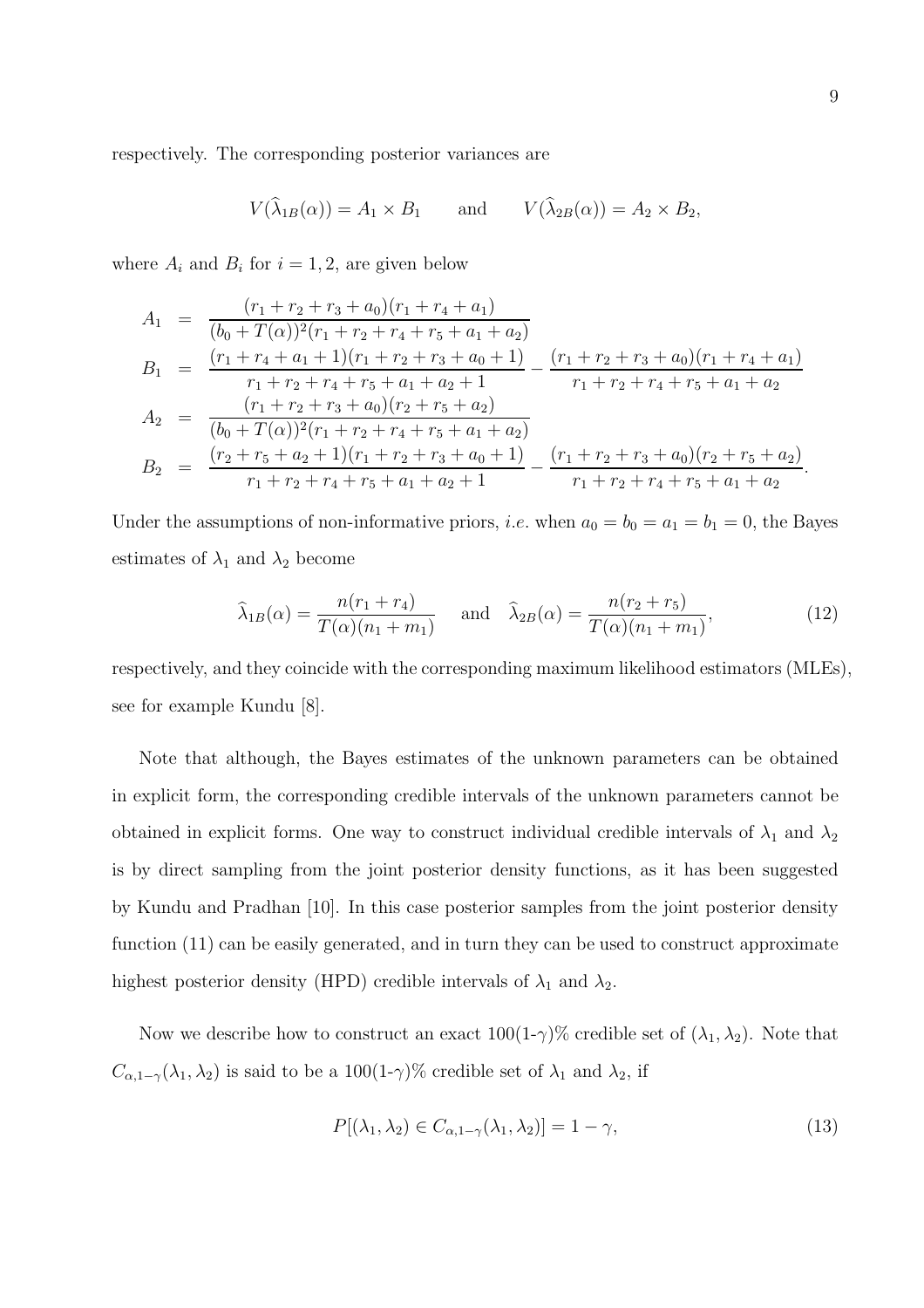respectively. The corresponding posterior variances are

$$
V(\widehat{\lambda}_{1B}(\alpha)) = A_1 \times B_1
$$
 and  $V(\widehat{\lambda}_{2B}(\alpha)) = A_2 \times B_2$ ,

where  $A_i$  and  $B_i$  for  $i = 1, 2$ , are given below

$$
A_1 = \frac{(r_1 + r_2 + r_3 + a_0)(r_1 + r_4 + a_1)}{(b_0 + T(\alpha))^2 (r_1 + r_2 + r_4 + r_5 + a_1 + a_2)}
$$
  
\n
$$
B_1 = \frac{(r_1 + r_4 + a_1 + 1)(r_1 + r_2 + r_3 + a_0 + 1)}{r_1 + r_2 + r_4 + r_5 + a_1 + a_2 + 1} - \frac{(r_1 + r_2 + r_3 + a_0)(r_1 + r_4 + a_1)}{r_1 + r_2 + r_4 + r_5 + a_1 + a_2}
$$
  
\n
$$
A_2 = \frac{(r_1 + r_2 + r_3 + a_0)(r_2 + r_5 + a_2)}{(b_0 + T(\alpha))^2 (r_1 + r_2 + r_4 + r_5 + a_1 + a_2)}
$$
  
\n
$$
B_2 = \frac{(r_2 + r_5 + a_2 + 1)(r_1 + r_2 + r_3 + a_0 + 1)}{r_1 + r_2 + r_4 + r_5 + a_1 + a_2} - \frac{(r_1 + r_2 + r_3 + a_0)(r_2 + r_5 + a_2)}{r_1 + r_2 + r_4 + r_5 + a_1 + a_2}.
$$

Under the assumptions of non-informative priors, *i.e.* when  $a_0 = b_0 = a_1 = b_1 = 0$ , the Bayes estimates of  $\lambda_1$  and  $\lambda_2$  become

$$
\widehat{\lambda}_{1B}(\alpha) = \frac{n(r_1 + r_4)}{T(\alpha)(n_1 + m_1)} \quad \text{and} \quad \widehat{\lambda}_{2B}(\alpha) = \frac{n(r_2 + r_5)}{T(\alpha)(n_1 + m_1)},\tag{12}
$$

respectively, and they coincide with the corresponding maximum likelihood estimators (MLEs), see for example Kundu [8].

Note that although, the Bayes estimates of the unknown parameters can be obtained in explicit form, the corresponding credible intervals of the unknown parameters cannot be obtained in explicit forms. One way to construct individual credible intervals of  $\lambda_1$  and  $\lambda_2$ is by direct sampling from the joint posterior density functions, as it has been suggested by Kundu and Pradhan [10]. In this case posterior samples from the joint posterior density function (11) can be easily generated, and in turn they can be used to construct approximate highest posterior density (HPD) credible intervals of  $\lambda_1$  and  $\lambda_2$ .

Now we describe how to construct an exact  $100(1-\gamma)\%$  credible set of  $(\lambda_1, \lambda_2)$ . Note that  $C_{\alpha,1-\gamma}(\lambda_1,\lambda_2)$  is said to be a 100(1- $\gamma$ )% credible set of  $\lambda_1$  and  $\lambda_2$ , if

$$
P[(\lambda_1, \lambda_2) \in C_{\alpha, 1-\gamma}(\lambda_1, \lambda_2)] = 1 - \gamma,
$$
\n(13)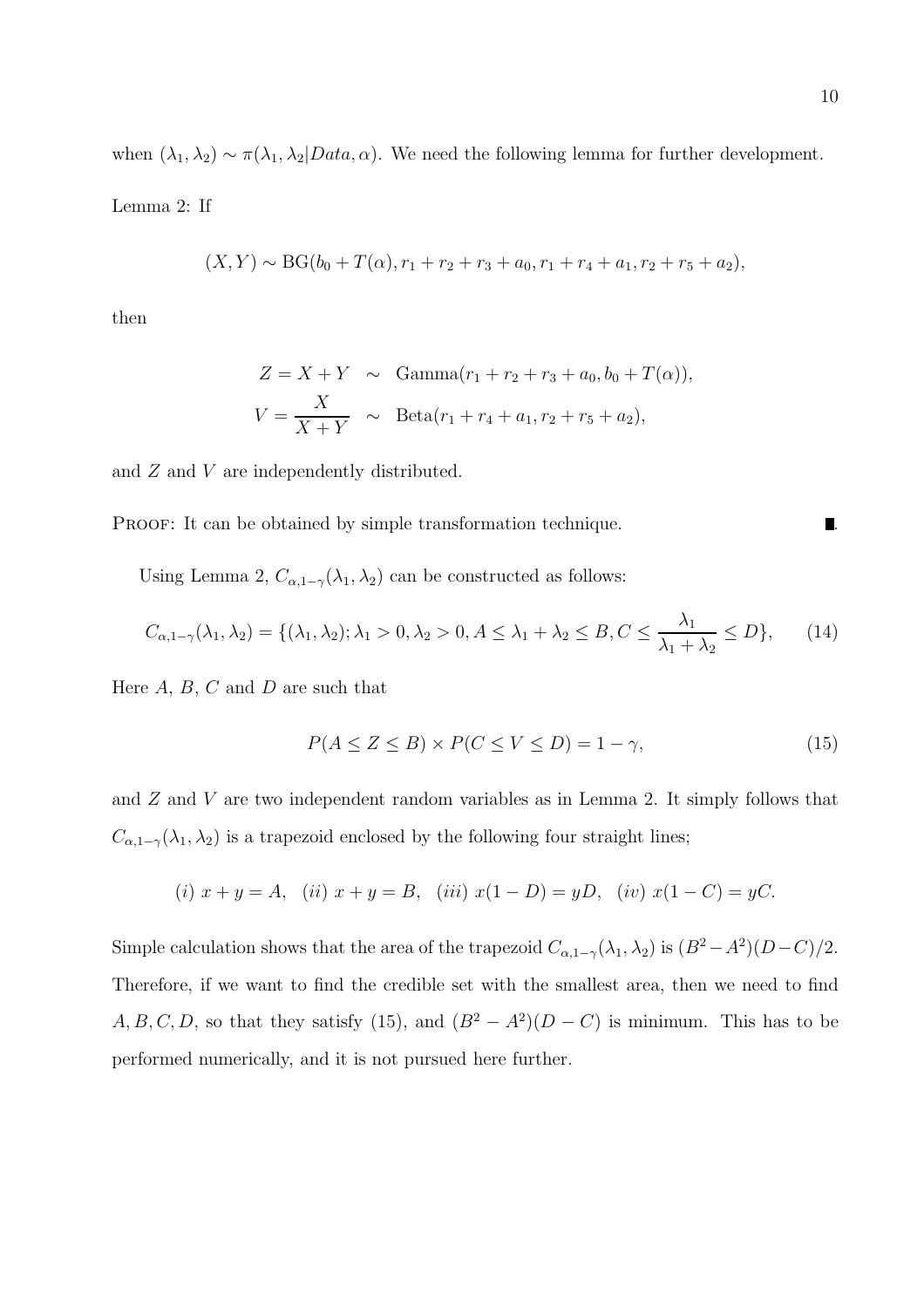when  $(\lambda_1, \lambda_2) \sim \pi(\lambda_1, \lambda_2 | Data, \alpha)$ . We need the following lemma for further development.

Lemma 2: If

$$
(X,Y) \sim BG(b_0 + T(\alpha), r_1 + r_2 + r_3 + a_0, r_1 + r_4 + a_1, r_2 + r_5 + a_2),
$$

then

$$
Z = X + Y \sim \text{Gamma}(r_1 + r_2 + r_3 + a_0, b_0 + T(\alpha)),
$$
  

$$
V = \frac{X}{X + Y} \sim \text{Beta}(r_1 + r_4 + a_1, r_2 + r_5 + a_2),
$$

and  $Z$  and  $V$  are independently distributed.

PROOF: It can be obtained by simple transformation technique.

Using Lemma 2,  $C_{\alpha,1-\gamma}(\lambda_1,\lambda_2)$  can be constructed as follows:

$$
C_{\alpha,1-\gamma}(\lambda_1,\lambda_2) = \{(\lambda_1,\lambda_2); \lambda_1 > 0, \lambda_2 > 0, A \le \lambda_1 + \lambda_2 \le B, C \le \frac{\lambda_1}{\lambda_1 + \lambda_2} \le D\},\tag{14}
$$

Here  $A, B, C$  and  $D$  are such that

$$
P(A \le Z \le B) \times P(C \le V \le D) = 1 - \gamma,\tag{15}
$$

and Z and V are two independent random variables as in Lemma 2. It simply follows that  $C_{\alpha,1-\gamma}(\lambda_1,\lambda_2)$  is a trapezoid enclosed by the following four straight lines;

(i) 
$$
x + y = A
$$
, (ii)  $x + y = B$ , (iii)  $x(1 - D) = yD$ , (iv)  $x(1 - C) = yC$ .

Simple calculation shows that the area of the trapezoid  $C_{\alpha,1-\gamma}(\lambda_1,\lambda_2)$  is  $(B^2-A^2)(D-C)/2$ . Therefore, if we want to find the credible set with the smallest area, then we need to find  $A, B, C, D$ , so that they satisfy (15), and  $(B^2 - A^2)(D - C)$  is minimum. This has to be performed numerically, and it is not pursued here further.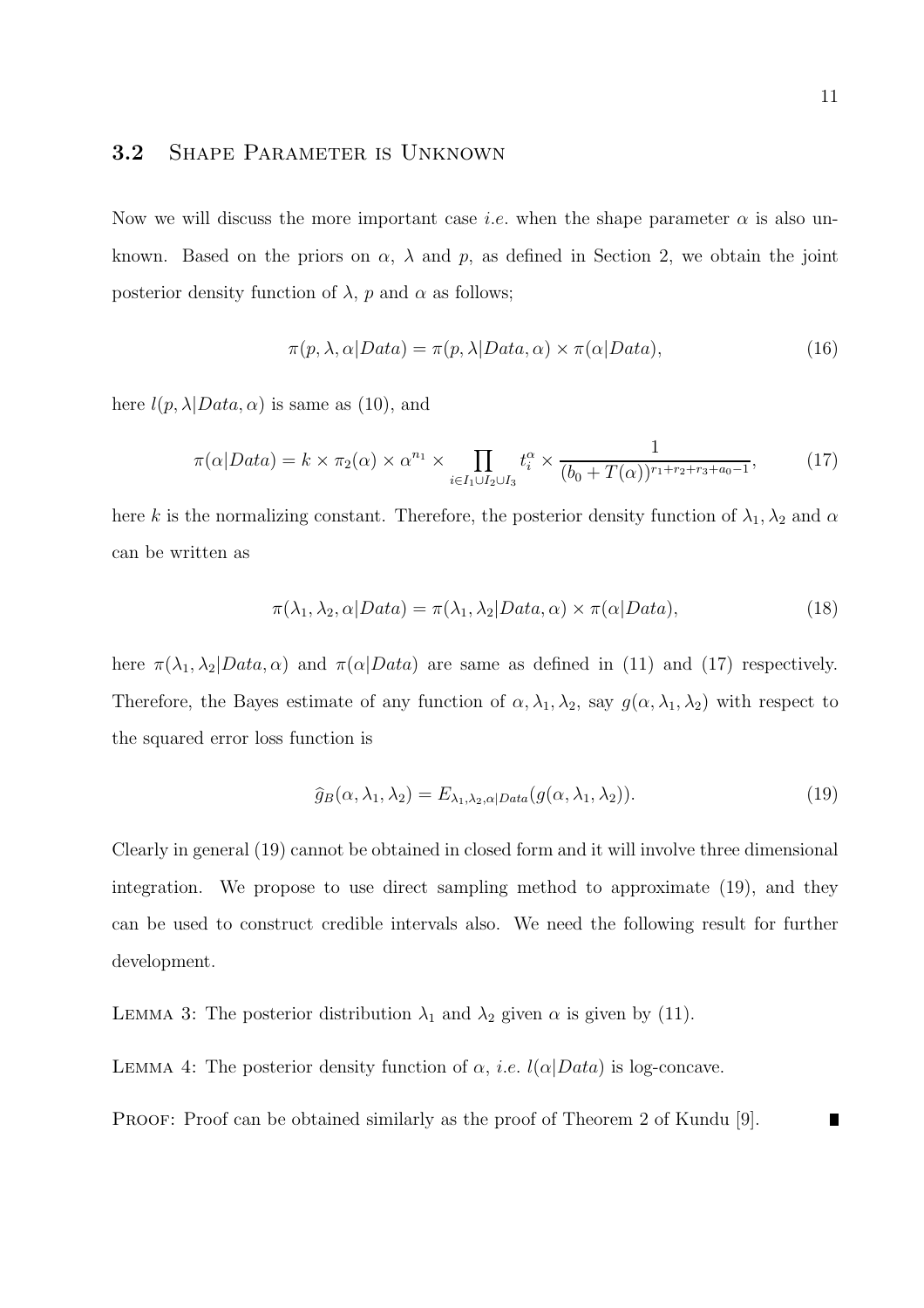### 3.2 SHAPE PARAMETER IS UNKNOWN

Now we will discuss the more important case *i.e.* when the shape parameter  $\alpha$  is also unknown. Based on the priors on  $\alpha$ ,  $\lambda$  and  $p$ , as defined in Section 2, we obtain the joint posterior density function of  $\lambda$ , p and  $\alpha$  as follows;

$$
\pi(p, \lambda, \alpha | Data) = \pi(p, \lambda | Data, \alpha) \times \pi(\alpha | Data), \tag{16}
$$

here  $l(p, \lambda | Data, \alpha)$  is same as (10), and

$$
\pi(\alpha|Data) = k \times \pi_2(\alpha) \times \alpha^{n_1} \times \prod_{i \in I_1 \cup I_2 \cup I_3} t_i^{\alpha} \times \frac{1}{(b_0 + T(\alpha))^{r_1 + r_2 + r_3 + a_0 - 1}},\tag{17}
$$

here k is the normalizing constant. Therefore, the posterior density function of  $\lambda_1, \lambda_2$  and  $\alpha$ can be written as

$$
\pi(\lambda_1, \lambda_2, \alpha | Data) = \pi(\lambda_1, \lambda_2 | Data, \alpha) \times \pi(\alpha | Data), \tag{18}
$$

here  $\pi(\lambda_1, \lambda_2| Data, \alpha)$  and  $\pi(\alpha|Data)$  are same as defined in (11) and (17) respectively. Therefore, the Bayes estimate of any function of  $\alpha, \lambda_1, \lambda_2$ , say  $g(\alpha, \lambda_1, \lambda_2)$  with respect to the squared error loss function is

$$
\widehat{g}_B(\alpha, \lambda_1, \lambda_2) = E_{\lambda_1, \lambda_2, \alpha | Data}(g(\alpha, \lambda_1, \lambda_2)).
$$
\n(19)

Clearly in general (19) cannot be obtained in closed form and it will involve three dimensional integration. We propose to use direct sampling method to approximate (19), and they can be used to construct credible intervals also. We need the following result for further development.

LEMMA 3: The posterior distribution  $\lambda_1$  and  $\lambda_2$  given  $\alpha$  is given by (11).

LEMMA 4: The posterior density function of  $\alpha$ , *i.e.*  $l(\alpha|Data)$  is log-concave.

PROOF: Proof can be obtained similarly as the proof of Theorem 2 of Kundu [9].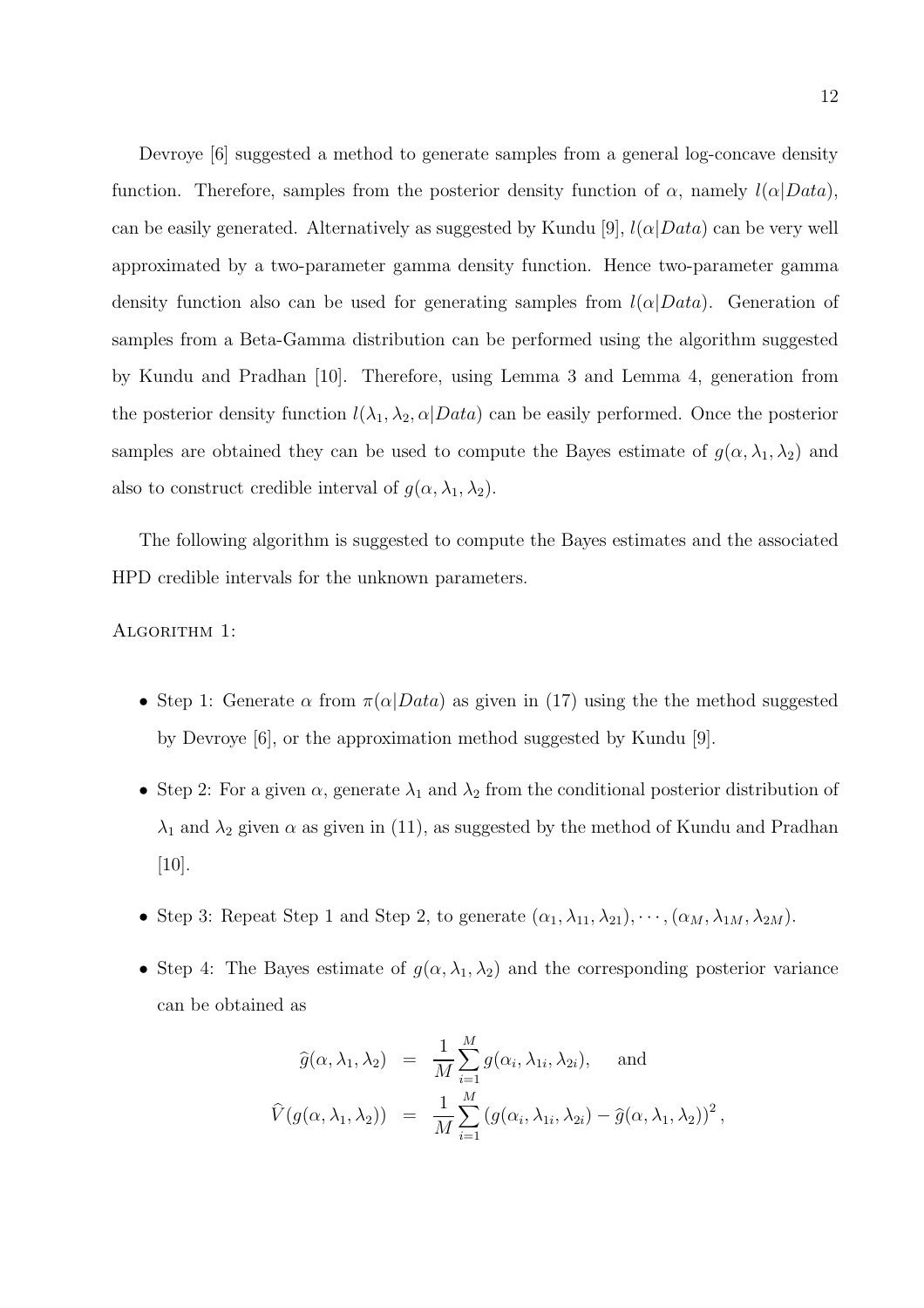Devroye [6] suggested a method to generate samples from a general log-concave density function. Therefore, samples from the posterior density function of  $\alpha$ , namely  $l(\alpha|Data)$ , can be easily generated. Alternatively as suggested by Kundu [9],  $l(\alpha|Data)$  can be very well approximated by a two-parameter gamma density function. Hence two-parameter gamma density function also can be used for generating samples from  $l(\alpha|Data)$ . Generation of samples from a Beta-Gamma distribution can be performed using the algorithm suggested by Kundu and Pradhan [10]. Therefore, using Lemma 3 and Lemma 4, generation from the posterior density function  $l(\lambda_1, \lambda_2, \alpha | Data)$  can be easily performed. Once the posterior samples are obtained they can be used to compute the Bayes estimate of  $g(\alpha, \lambda_1, \lambda_2)$  and also to construct credible interval of  $g(\alpha, \lambda_1, \lambda_2)$ .

The following algorithm is suggested to compute the Bayes estimates and the associated HPD credible intervals for the unknown parameters.

#### ALGORITHM 1:

- Step 1: Generate  $\alpha$  from  $\pi(\alpha|Data)$  as given in (17) using the the method suggested by Devroye [6], or the approximation method suggested by Kundu [9].
- Step 2: For a given  $\alpha$ , generate  $\lambda_1$  and  $\lambda_2$  from the conditional posterior distribution of  $\lambda_1$  and  $\lambda_2$  given  $\alpha$  as given in (11), as suggested by the method of Kundu and Pradhan [10].
- Step 3: Repeat Step 1 and Step 2, to generate  $(\alpha_1, \lambda_{11}, \lambda_{21}), \cdots, (\alpha_M, \lambda_{1M}, \lambda_{2M}).$
- Step 4: The Bayes estimate of  $g(\alpha, \lambda_1, \lambda_2)$  and the corresponding posterior variance can be obtained as

$$
\widehat{g}(\alpha, \lambda_1, \lambda_2) = \frac{1}{M} \sum_{i=1}^{M} g(\alpha_i, \lambda_{1i}, \lambda_{2i}), \text{ and}
$$
  

$$
\widehat{V}(g(\alpha, \lambda_1, \lambda_2)) = \frac{1}{M} \sum_{i=1}^{M} (g(\alpha_i, \lambda_{1i}, \lambda_{2i}) - \widehat{g}(\alpha, \lambda_1, \lambda_2))^2,
$$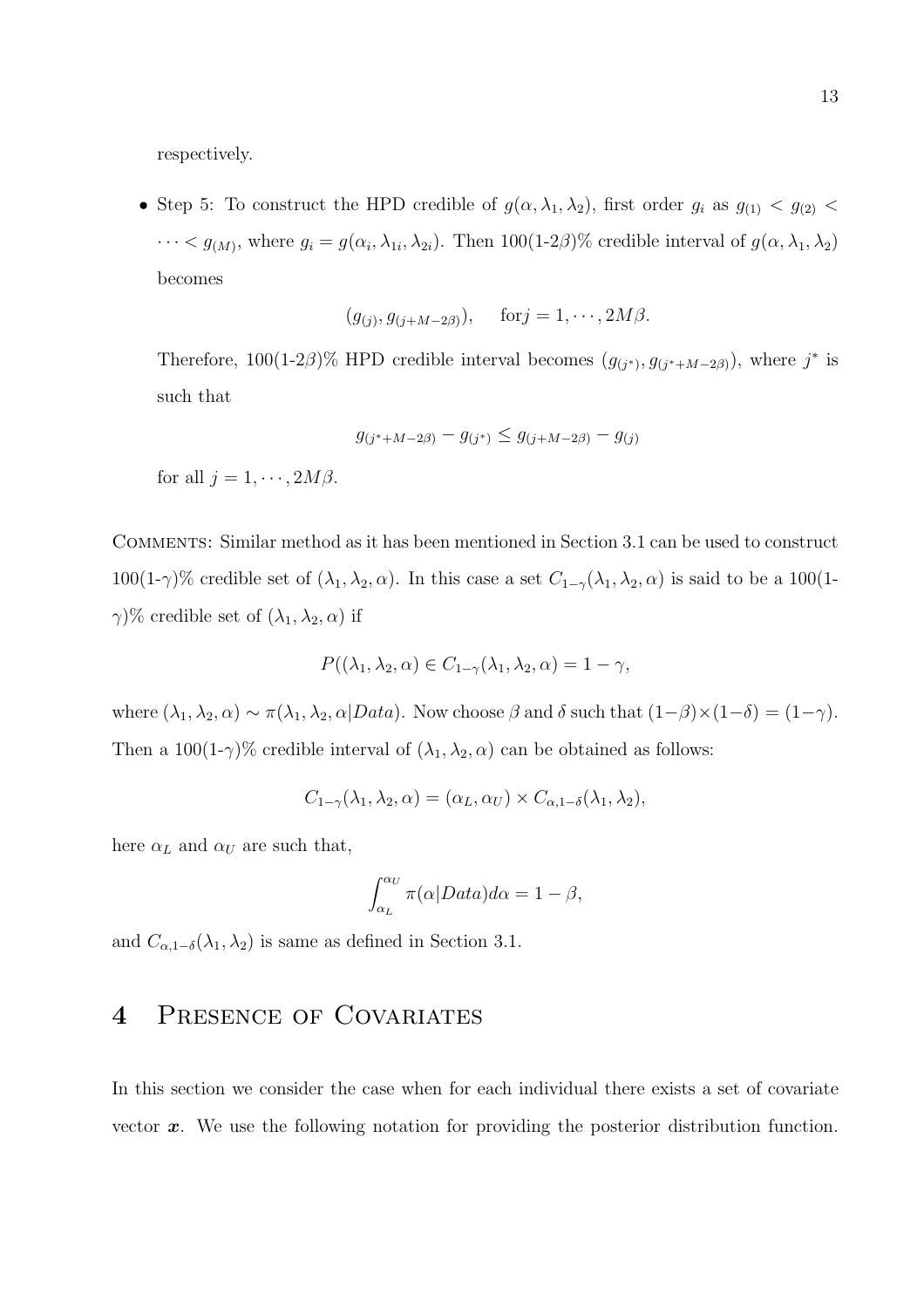respectively.

• Step 5: To construct the HPD credible of  $g(\alpha, \lambda_1, \lambda_2)$ , first order  $g_i$  as  $g_{(1)} < g_{(2)} <$  $\cdots < g_{(M)}$ , where  $g_i = g(\alpha_i, \lambda_{1i}, \lambda_{2i})$ . Then 100(1-2 $\beta$ )% credible interval of  $g(\alpha, \lambda_1, \lambda_2)$ becomes

$$
(g_{(j)}, g_{(j+M-2\beta)}), \quad \text{for } j = 1, \cdots, 2M\beta.
$$

Therefore, 100(1-2β)% HPD credible interval becomes  $(g_{(j^*)}, g_{(j^*+M-2\beta)})$ , where  $j^*$  is such that

$$
g_{(j^*+M-2\beta)} - g_{(j^*)} \le g_{(j+M-2\beta)} - g_{(j)}
$$

for all  $j = 1, \cdots, 2M\beta$ .

Comments: Similar method as it has been mentioned in Section 3.1 can be used to construct 100(1-γ)% credible set of  $(\lambda_1, \lambda_2, \alpha)$ . In this case a set  $C_{1-\gamma}(\lambda_1, \lambda_2, \alpha)$  is said to be a 100(1- $\gamma$ % credible set of  $(\lambda_1, \lambda_2, \alpha)$  if

$$
P((\lambda_1, \lambda_2, \alpha) \in C_{1-\gamma}(\lambda_1, \lambda_2, \alpha) = 1 - \gamma,
$$

where  $(\lambda_1, \lambda_2, \alpha) \sim \pi(\lambda_1, \lambda_2, \alpha | Data)$ . Now choose  $\beta$  and  $\delta$  such that  $(1-\beta) \times (1-\delta) = (1-\gamma)$ . Then a  $100(1-\gamma)\%$  credible interval of  $(\lambda_1, \lambda_2, \alpha)$  can be obtained as follows:

$$
C_{1-\gamma}(\lambda_1, \lambda_2, \alpha) = (\alpha_L, \alpha_U) \times C_{\alpha, 1-\delta}(\lambda_1, \lambda_2),
$$

here  $\alpha_L$  and  $\alpha_U$  are such that,

$$
\int_{\alpha_L}^{\alpha_U} \pi(\alpha|Data)d\alpha = 1 - \beta,
$$

and  $C_{\alpha,1-\delta}(\lambda_1,\lambda_2)$  is same as defined in Section 3.1.

## 4 PRESENCE OF COVARIATES

In this section we consider the case when for each individual there exists a set of covariate vector  $x$ . We use the following notation for providing the posterior distribution function.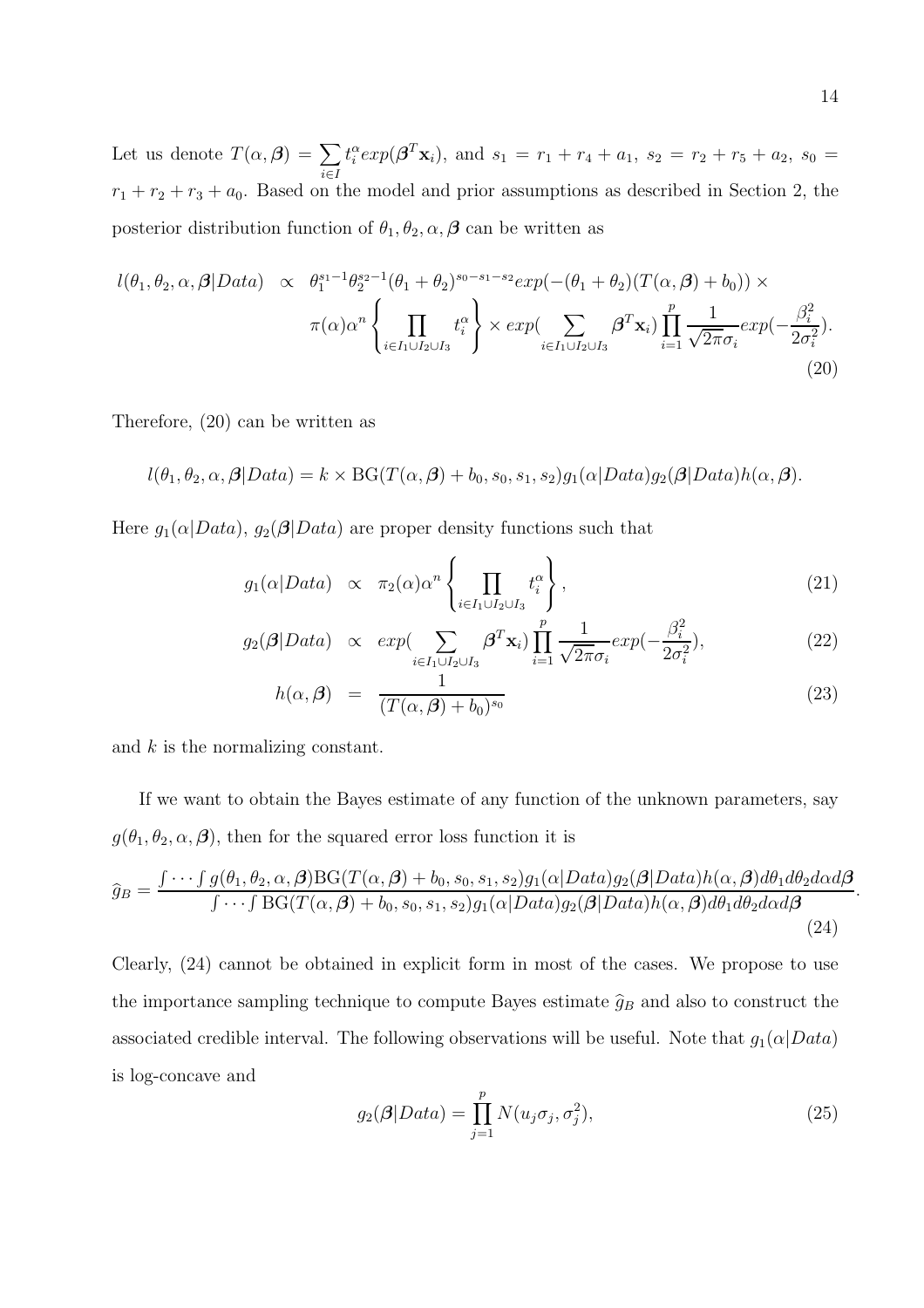Let us denote  $T(\alpha, \beta) = \sum$ i∈I  $t_i^{\alpha} exp(\boldsymbol{\beta}^T \mathbf{x}_i)$ , and  $s_1 = r_1 + r_4 + a_1$ ,  $s_2 = r_2 + r_5 + a_2$ ,  $s_0 =$  $r_1 + r_2 + r_3 + a_0$ . Based on the model and prior assumptions as described in Section 2, the posterior distribution function of  $\theta_1, \theta_2, \alpha, \beta$  can be written as

$$
l(\theta_1, \theta_2, \alpha, \beta | Data) \propto \theta_1^{s_1 - 1} \theta_2^{s_2 - 1} (\theta_1 + \theta_2)^{s_0 - s_1 - s_2} exp(-( \theta_1 + \theta_2) (T(\alpha, \beta) + b_0)) \times \pi(\alpha) \alpha^n \left\{ \prod_{i \in I_1 \cup I_2 \cup I_3} t_i^{\alpha} \right\} \times exp \left( \sum_{i \in I_1 \cup I_2 \cup I_3} \beta^T \mathbf{x}_i \right) \prod_{i = 1}^p \frac{1}{\sqrt{2\pi} \sigma_i} exp(-\frac{\beta_i^2}{2\sigma_i^2}).
$$
\n(20)

Therefore, (20) can be written as

$$
l(\theta_1, \theta_2, \alpha, \beta | Data) = k \times BG(T(\alpha, \beta) + b_0, s_0, s_1, s_2)g_1(\alpha | Data)g_2(\beta|Data)h(\alpha, \beta).
$$

Here  $g_1(\alpha|Data)$ ,  $g_2(\beta|Data)$  are proper density functions such that

$$
g_1(\alpha|Data) \propto \pi_2(\alpha)\alpha^n \left\{ \prod_{i \in I_1 \cup I_2 \cup I_3} t_i^{\alpha} \right\},
$$
\n(21)

$$
g_2(\boldsymbol{\beta}|Data) \propto \exp(\sum_{i \in I_1 \cup I_2 \cup I_3} \boldsymbol{\beta}^T \mathbf{x}_i) \prod_{i=1}^p \frac{1}{\sqrt{2\pi}\sigma_i} \exp(-\frac{\beta_i^2}{2\sigma_i^2}), \tag{22}
$$

$$
h(\alpha, \beta) = \frac{1}{(T(\alpha, \beta) + b_0)^{s_0}}
$$
\n(23)

and  $k$  is the normalizing constant.

If we want to obtain the Bayes estimate of any function of the unknown parameters, say  $g(\theta_1, \theta_2, \alpha, \beta)$ , then for the squared error loss function it is

$$
\widehat{g}_B = \frac{\int \cdots \int g(\theta_1, \theta_2, \alpha, \beta) \text{BG}(T(\alpha, \beta) + b_0, s_0, s_1, s_2) g_1(\alpha | Data) g_2(\beta | Data) h(\alpha, \beta) d\theta_1 d\theta_2 d\alpha d\beta}{\int \cdots \int \text{BG}(T(\alpha, \beta) + b_0, s_0, s_1, s_2) g_1(\alpha | Data) g_2(\beta | Data) h(\alpha, \beta) d\theta_1 d\theta_2 d\alpha d\beta}.
$$
\n(24)

Clearly, (24) cannot be obtained in explicit form in most of the cases. We propose to use the importance sampling technique to compute Bayes estimate  $\hat{g}_B$  and also to construct the associated credible interval. The following observations will be useful. Note that  $g_1(\alpha|Data)$ is log-concave and

$$
g_2(\boldsymbol{\beta}|Data) = \prod_{j=1}^p N(u_j \sigma_j, \sigma_j^2), \qquad (25)
$$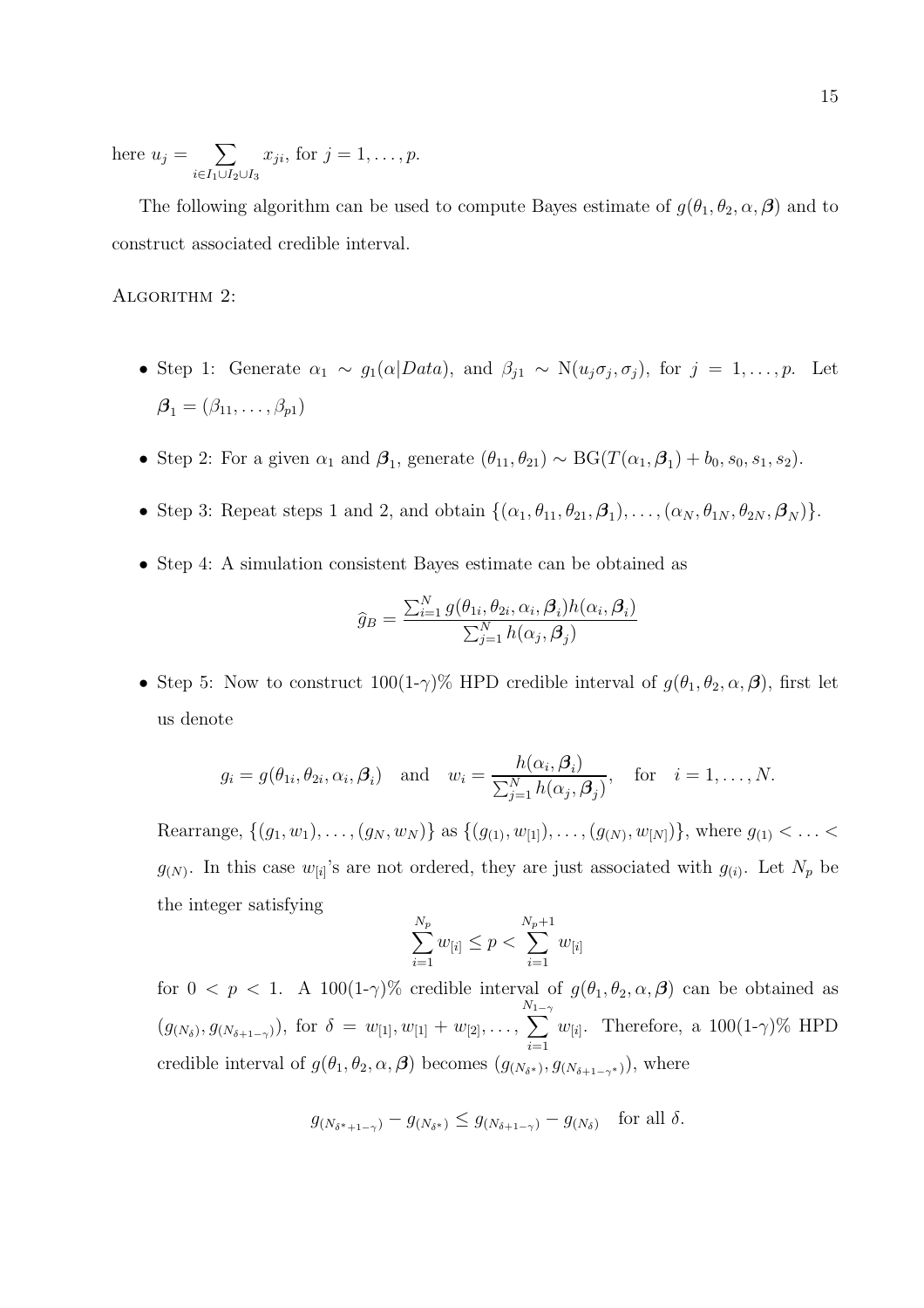here  $u_j = \sum$  $i∈I_1∪I_2∪I_3$  $x_{ji}$ , for  $j = 1, \ldots, p$ .

The following algorithm can be used to compute Bayes estimate of  $g(\theta_1, \theta_2, \alpha, \beta)$  and to construct associated credible interval.

#### ALGORITHM 2:

- Step 1: Generate  $\alpha_1 \sim g_1(\alpha|Data)$ , and  $\beta_{j1} \sim N(u_j \sigma_j, \sigma_j)$ , for  $j = 1, ..., p$ . Let  $\boldsymbol{\beta}_1 = (\beta_{11}, \ldots, \beta_{p1})$
- Step 2: For a given  $\alpha_1$  and  $\beta_1$ , generate  $(\theta_{11}, \theta_{21}) \sim BG(T(\alpha_1, \beta_1) + b_0, s_0, s_1, s_2)$ .
- Step 3: Repeat steps 1 and 2, and obtain  $\{(\alpha_1, \theta_{11}, \theta_{21}, \beta_1), \ldots, (\alpha_N, \theta_{1N}, \theta_{2N}, \beta_N)\}.$
- Step 4: A simulation consistent Bayes estimate can be obtained as

$$
\hat{g}_B = \frac{\sum_{i=1}^N g(\theta_{1i}, \theta_{2i}, \alpha_i, \boldsymbol{\beta}_i) h(\alpha_i, \boldsymbol{\beta}_i)}{\sum_{j=1}^N h(\alpha_j, \boldsymbol{\beta}_j)}
$$

• Step 5: Now to construct  $100(1-\gamma)\%$  HPD credible interval of  $g(\theta_1, \theta_2, \alpha, \beta)$ , first let us denote

$$
g_i = g(\theta_{1i}, \theta_{2i}, \alpha_i, \beta_i)
$$
 and  $w_i = \frac{h(\alpha_i, \beta_i)}{\sum_{j=1}^N h(\alpha_j, \beta_j)}$ , for  $i = 1, ..., N$ .

Rearrange,  $\{(g_1, w_1), \ldots, (g_N, w_N)\}\$ as  $\{(g_{(1)}, w_{[1]}), \ldots, (g_{(N)}, w_{[N]})\}\$ , where  $g_{(1)} < \ldots <$  $g_{(N)}$ . In this case  $w_{[i]}$ 's are not ordered, they are just associated with  $g_{(i)}$ . Let  $N_p$  be the integer satisfying

$$
\sum_{i=1}^{N_p} w_{[i]} \le p < \sum_{i=1}^{N_p+1} w_{[i]}
$$

for  $0 < p < 1$ . A 100(1-γ)% credible interval of  $g(\theta_1, \theta_2, \alpha, \beta)$  can be obtained as  $(g_{(N_\delta)}, g_{(N_{\delta+1-\gamma})})$ , for  $\delta = w_{[1]}, w_{[1]} + w_{[2]}, \ldots,$  $\sum_{n=1}^{N_1-1}$  $i=1$  $w_{[i]}$ . Therefore, a 100(1- $\gamma$ )% HPD credible interval of  $g(\theta_1, \theta_2, \alpha, \beta)$  becomes  $(g_{(N_{\delta^*})}, g_{(N_{\delta+1-\gamma^*})})$ , where

$$
g_{(N_{\delta^*+1-\gamma})} - g_{(N_{\delta^*})} \le g_{(N_{\delta+1-\gamma})} - g_{(N_{\delta})} \quad \text{for all } \delta.
$$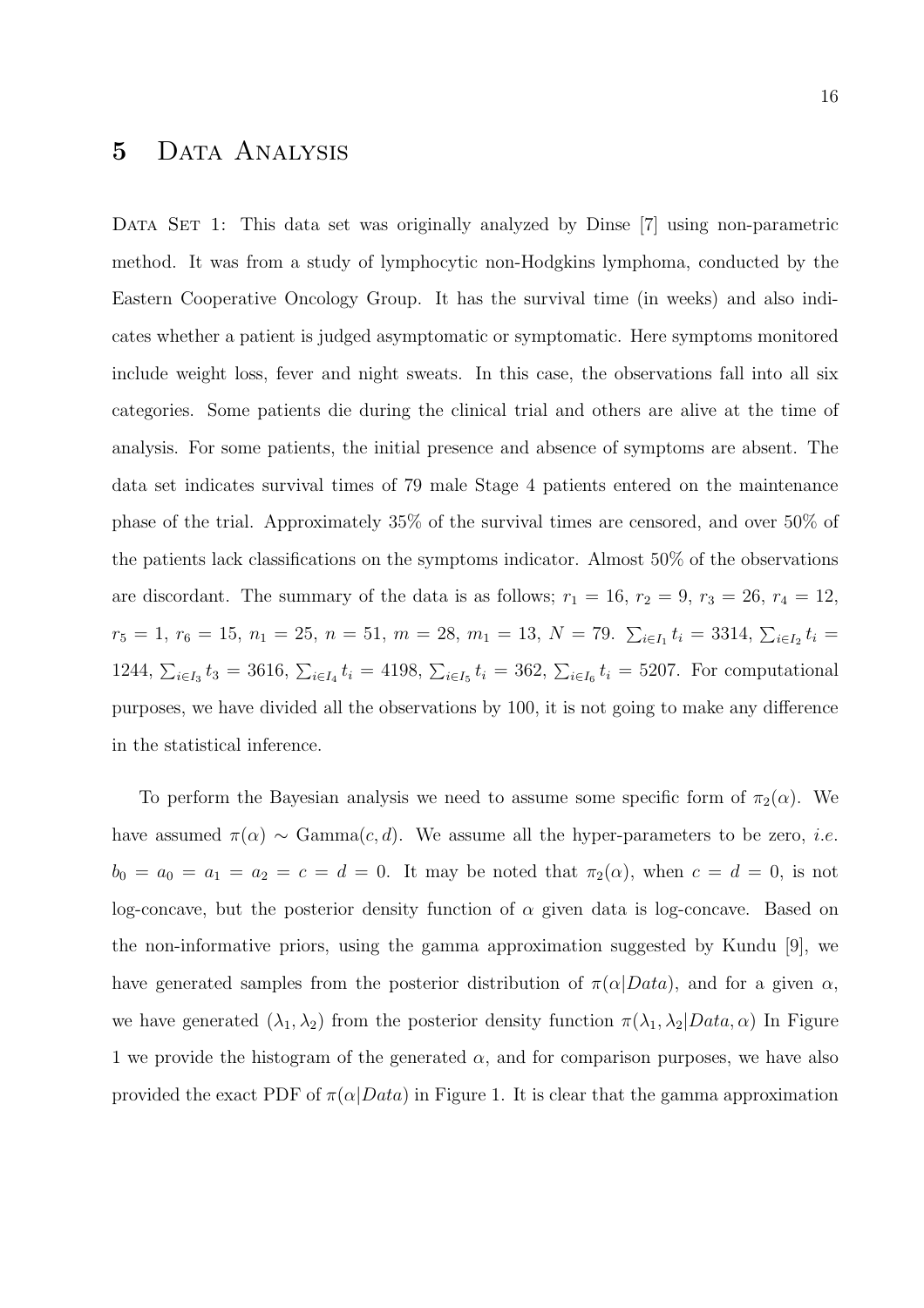## 5 Data Analysis

DATA SET 1: This data set was originally analyzed by Dinse [7] using non-parametric method. It was from a study of lymphocytic non-Hodgkins lymphoma, conducted by the Eastern Cooperative Oncology Group. It has the survival time (in weeks) and also indicates whether a patient is judged asymptomatic or symptomatic. Here symptoms monitored include weight loss, fever and night sweats. In this case, the observations fall into all six categories. Some patients die during the clinical trial and others are alive at the time of analysis. For some patients, the initial presence and absence of symptoms are absent. The data set indicates survival times of 79 male Stage 4 patients entered on the maintenance phase of the trial. Approximately 35% of the survival times are censored, and over 50% of the patients lack classifications on the symptoms indicator. Almost 50% of the observations are discordant. The summary of the data is as follows;  $r_1 = 16$ ,  $r_2 = 9$ ,  $r_3 = 26$ ,  $r_4 = 12$ ,  $r_5 = 1, r_6 = 15, n_1 = 25, n = 51, m = 28, m_1 = 13, N = 79.$   $\sum_{i \in I_1} t_i = 3314, \sum_{i \in I_2} t_i =$ 1244,  $\sum_{i\in I_3} t_3 = 3616$ ,  $\sum_{i\in I_4} t_i = 4198$ ,  $\sum_{i\in I_5} t_i = 362$ ,  $\sum_{i\in I_6} t_i = 5207$ . For computational purposes, we have divided all the observations by 100, it is not going to make any difference in the statistical inference.

To perform the Bayesian analysis we need to assume some specific form of  $\pi_2(\alpha)$ . We have assumed  $\pi(\alpha) \sim \text{Gamma}(c, d)$ . We assume all the hyper-parameters to be zero, *i.e.*  $b_0 = a_0 = a_1 = a_2 = c = d = 0$ . It may be noted that  $\pi_2(\alpha)$ , when  $c = d = 0$ , is not log-concave, but the posterior density function of  $\alpha$  given data is log-concave. Based on the non-informative priors, using the gamma approximation suggested by Kundu [9], we have generated samples from the posterior distribution of  $\pi(\alpha|Data)$ , and for a given  $\alpha$ , we have generated  $(\lambda_1, \lambda_2)$  from the posterior density function  $\pi(\lambda_1, \lambda_2 | Data, \alpha)$  In Figure 1 we provide the histogram of the generated  $\alpha$ , and for comparison purposes, we have also provided the exact PDF of  $\pi(\alpha|Data)$  in Figure 1. It is clear that the gamma approximation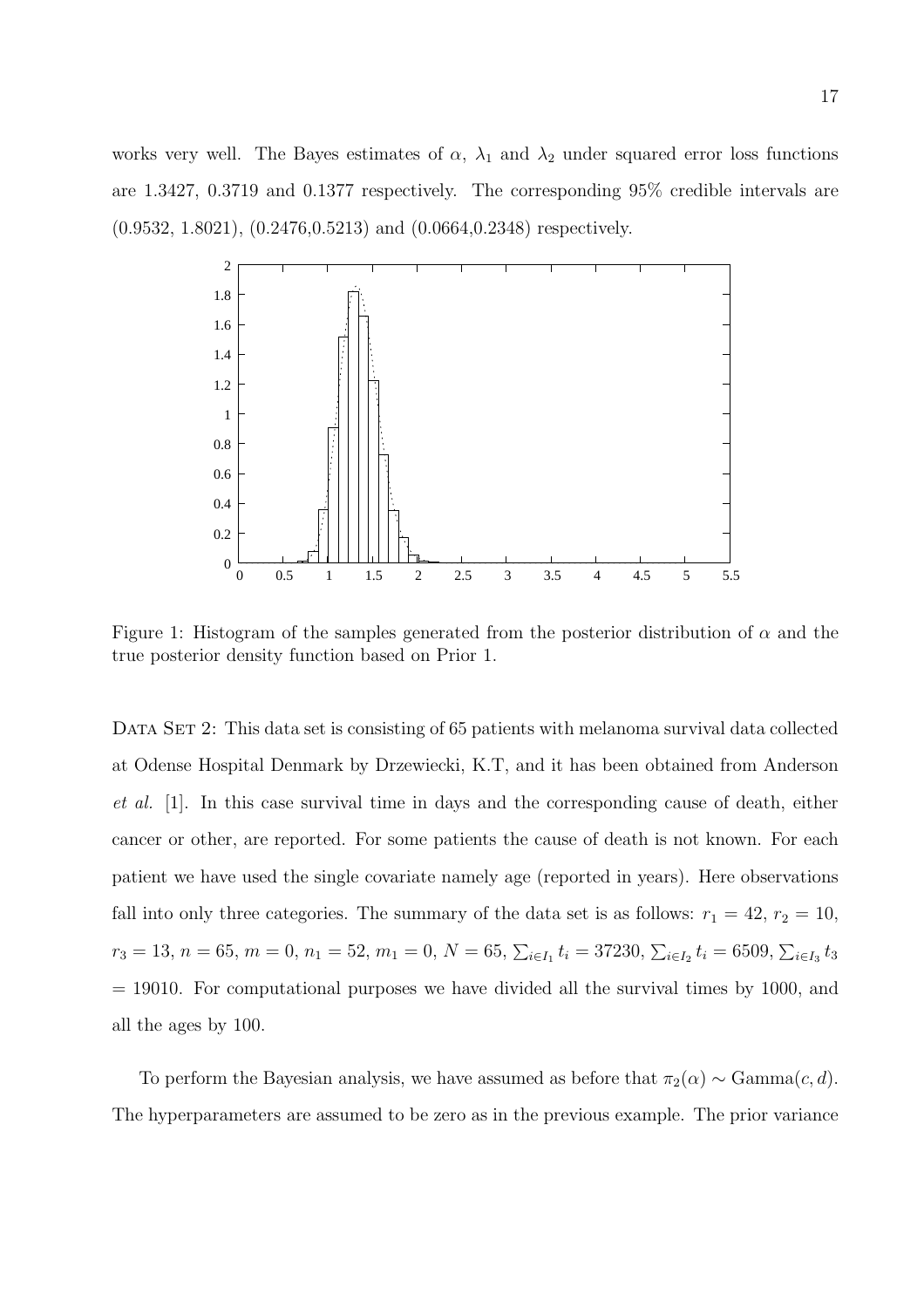works very well. The Bayes estimates of  $\alpha$ ,  $\lambda_1$  and  $\lambda_2$  under squared error loss functions are 1.3427, 0.3719 and 0.1377 respectively. The corresponding 95% credible intervals are (0.9532, 1.8021), (0.2476,0.5213) and (0.0664,0.2348) respectively.



Figure 1: Histogram of the samples generated from the posterior distribution of  $\alpha$  and the true posterior density function based on Prior 1.

DATA SET 2: This data set is consisting of 65 patients with melanoma survival data collected at Odense Hospital Denmark by Drzewiecki, K.T, and it has been obtained from Anderson et al. [1]. In this case survival time in days and the corresponding cause of death, either cancer or other, are reported. For some patients the cause of death is not known. For each patient we have used the single covariate namely age (reported in years). Here observations fall into only three categories. The summary of the data set is as follows:  $r_1 = 42$ ,  $r_2 = 10$ ,  $r_3 = 13, n = 65, m = 0, n_1 = 52, m_1 = 0, N = 65, \sum_{i \in I_1} t_i = 37230, \sum_{i \in I_2} t_i = 6509, \sum_{i \in I_3} t_3$ = 19010. For computational purposes we have divided all the survival times by 1000, and all the ages by 100.

To perform the Bayesian analysis, we have assumed as before that  $\pi_2(\alpha) \sim \text{Gamma}(c, d)$ . The hyperparameters are assumed to be zero as in the previous example. The prior variance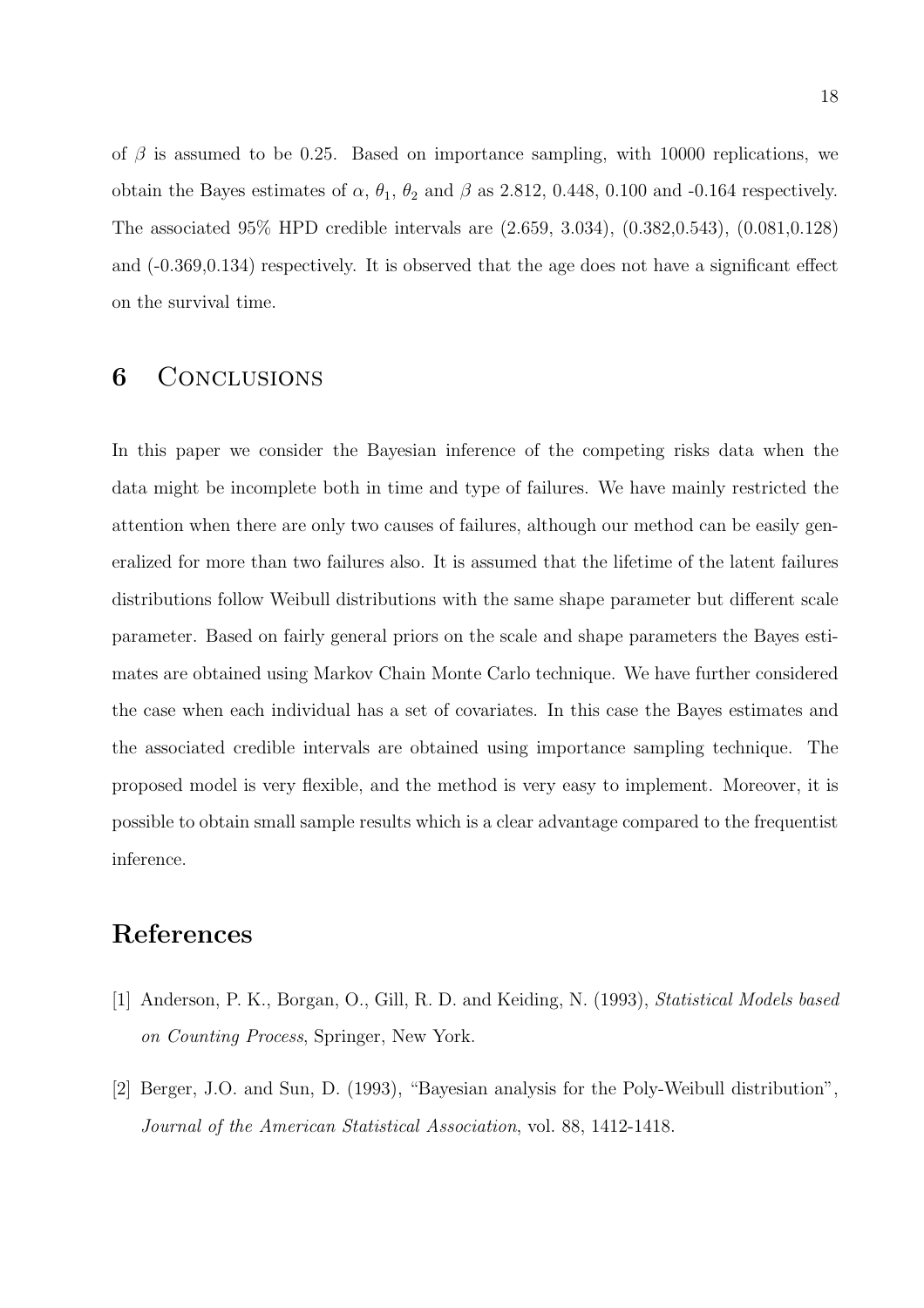of  $\beta$  is assumed to be 0.25. Based on importance sampling, with 10000 replications, we obtain the Bayes estimates of  $\alpha$ ,  $\theta_1$ ,  $\theta_2$  and  $\beta$  as 2.812, 0.448, 0.100 and -0.164 respectively. The associated 95% HPD credible intervals are (2.659, 3.034), (0.382,0.543), (0.081,0.128) and (-0.369,0.134) respectively. It is observed that the age does not have a significant effect on the survival time.

## 6 CONCLUSIONS

In this paper we consider the Bayesian inference of the competing risks data when the data might be incomplete both in time and type of failures. We have mainly restricted the attention when there are only two causes of failures, although our method can be easily generalized for more than two failures also. It is assumed that the lifetime of the latent failures distributions follow Weibull distributions with the same shape parameter but different scale parameter. Based on fairly general priors on the scale and shape parameters the Bayes estimates are obtained using Markov Chain Monte Carlo technique. We have further considered the case when each individual has a set of covariates. In this case the Bayes estimates and the associated credible intervals are obtained using importance sampling technique. The proposed model is very flexible, and the method is very easy to implement. Moreover, it is possible to obtain small sample results which is a clear advantage compared to the frequentist inference.

## References

- [1] Anderson, P. K., Borgan, O., Gill, R. D. and Keiding, N. (1993), Statistical Models based on Counting Process, Springer, New York.
- [2] Berger, J.O. and Sun, D. (1993), "Bayesian analysis for the Poly-Weibull distribution", Journal of the American Statistical Association, vol. 88, 1412-1418.